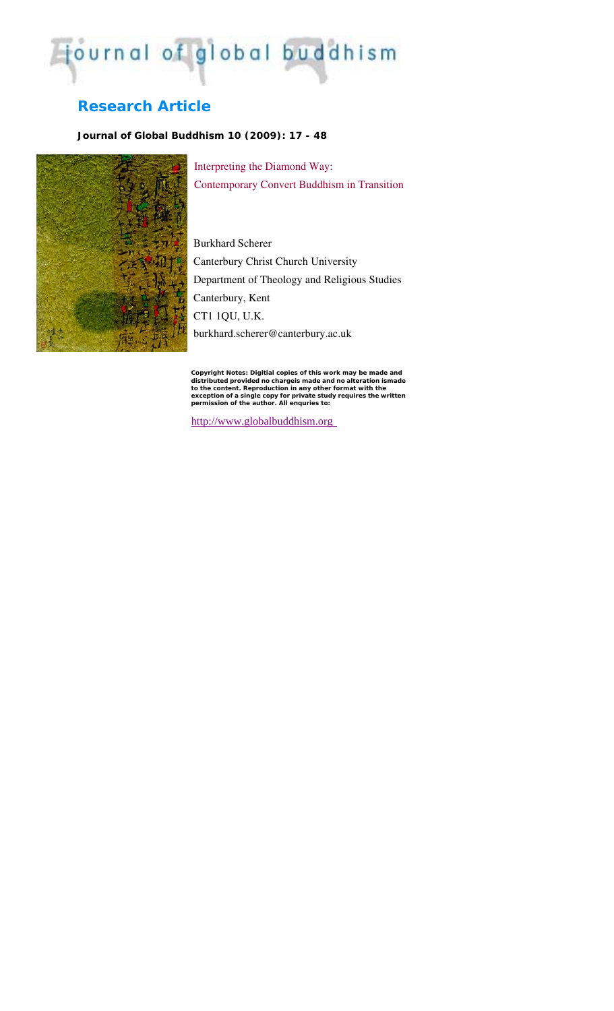# journal of global buddhism

## **Research Article**

### *Journal of Global Buddhism 10 (2009): 17 - 48*



Interpreting the Diamond Way: Contemporary Convert Buddhism in Transition

Burkhard Scherer Canterbury Christ Church University Department of Theology and Religious Studies Canterbury, Kent CT1 1QU, U.K. burkhard.scherer@canterbury.ac.uk

Copyright Notes: Digitial copies of this work may be made and<br>distributed provided no chargels made and no alteration ismade<br>to the content. Reproduction in any other format with the<br>exception of a single copy for private

http://www.globalbuddhism.org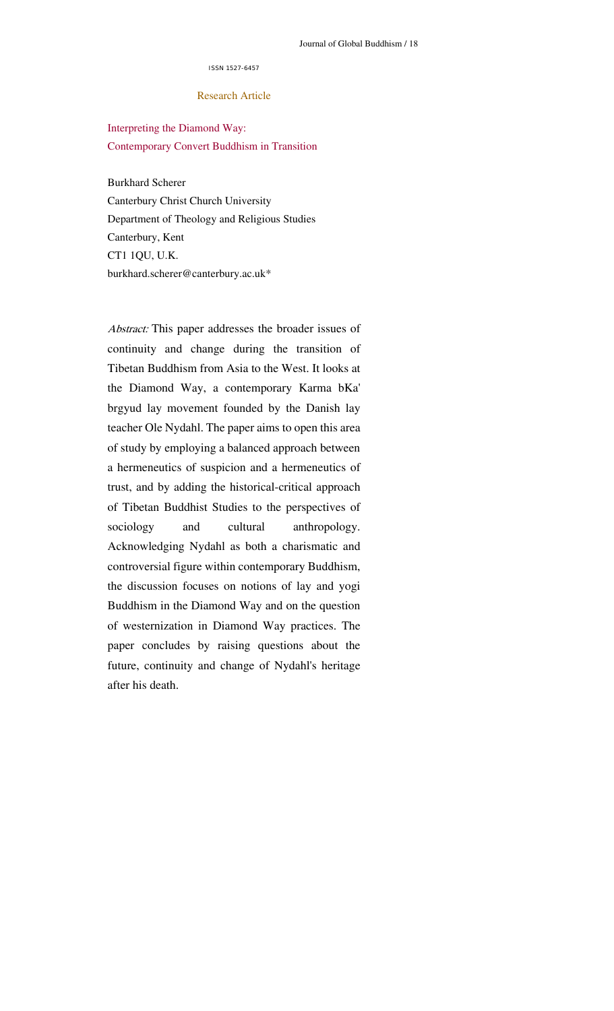#### ISSN 1527-6457

#### Research Article

Interpreting the Diamond Way: Contemporary Convert Buddhism in Transition

Burkhard Scherer Canterbury Christ Church University Department of Theology and Religious Studies Canterbury, Kent CT1 1QU, U.K. burkhard.scherer@canterbury.ac.uk\*

Abstract: This paper addresses the broader issues of continuity and change during the transition of Tibetan Buddhism from Asia to the West. It looks at the Diamond Way, a contemporary Karma bKa' brgyud lay movement founded by the Danish lay teacher Ole Nydahl. The paper aims to open this area of study by employing a balanced approach between a hermeneutics of suspicion and a hermeneutics of trust, and by adding the historical-critical approach of Tibetan Buddhist Studies to the perspectives of sociology and cultural anthropology. Acknowledging Nydahl as both a charismatic and controversial figure within contemporary Buddhism, the discussion focuses on notions of lay and yogi Buddhism in the Diamond Way and on the question of westernization in Diamond Way practices. The paper concludes by raising questions about the future, continuity and change of Nydahl's heritage after his death.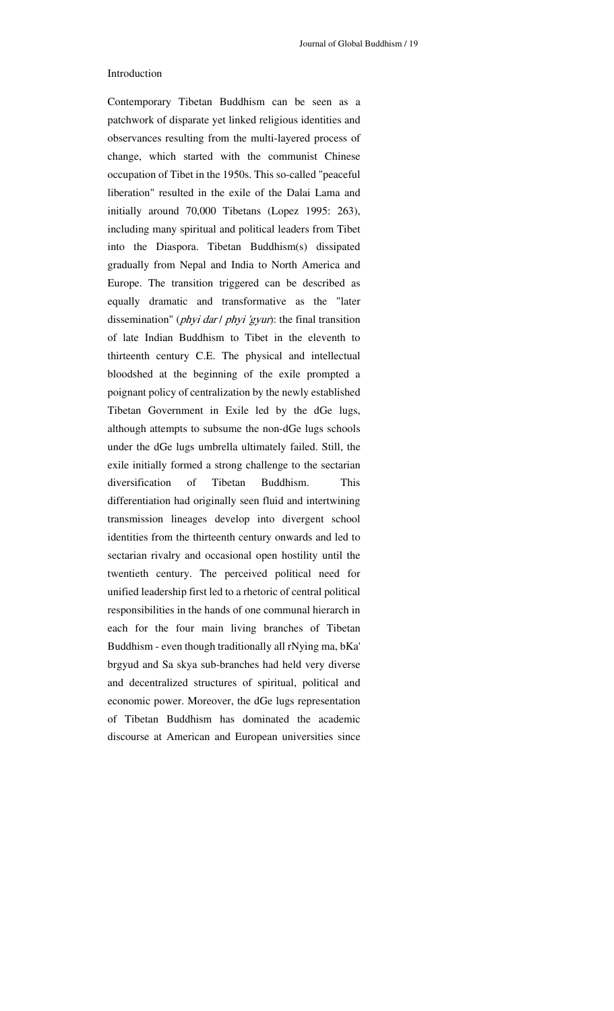#### Introduction

Contemporary Tibetan Buddhism can be seen as a patchwork of disparate yet linked religious identities and observances resulting from the multi-layered process of change, which started with the communist Chinese occupation of Tibet in the 1950s. This so-called "peaceful liberation" resulted in the exile of the Dalai Lama and initially around 70,000 Tibetans (Lopez 1995: 263), including many spiritual and political leaders from Tibet into the Diaspora. Tibetan Buddhism(s) dissipated gradually from Nepal and India to North America and Europe. The transition triggered can be described as equally dramatic and transformative as the "later dissemination" (*phyi dar | phyi 'gyur*): the final transition of late Indian Buddhism to Tibet in the eleventh to thirteenth century C.E. The physical and intellectual bloodshed at the beginning of the exile prompted a poignant policy of centralization by the newly established Tibetan Government in Exile led by the dGe lugs, although attempts to subsume the non-dGe lugs schools under the dGe lugs umbrella ultimately failed. Still, the exile initially formed a strong challenge to the sectarian diversification of Tibetan Buddhism. This differentiation had originally seen fluid and intertwining transmission lineages develop into divergent school identities from the thirteenth century onwards and led to sectarian rivalry and occasional open hostility until the twentieth century. The perceived political need for unified leadership first led to a rhetoric of central political responsibilities in the hands of one communal hierarch in each for the four main living branches of Tibetan Buddhism - even though traditionally all rNying ma, bKa' brgyud and Sa skya sub-branches had held very diverse and decentralized structures of spiritual, political and economic power. Moreover, the dGe lugs representation of Tibetan Buddhism has dominated the academic discourse at American and European universities since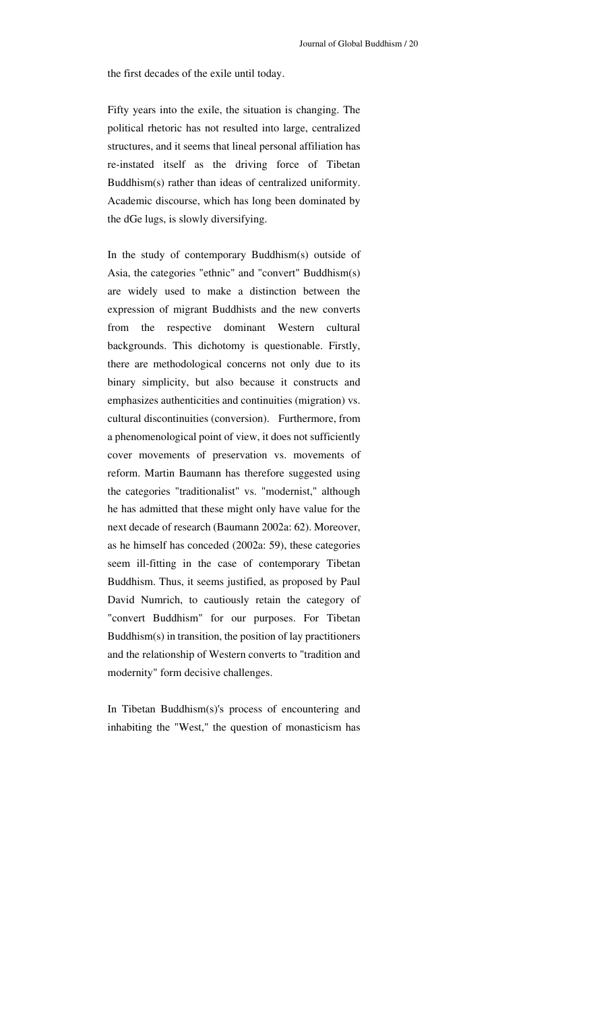the first decades of the exile until today.

Fifty years into the exile, the situation is changing. The political rhetoric has not resulted into large, centralized structures, and it seems that lineal personal affiliation has re-instated itself as the driving force of Tibetan Buddhism(s) rather than ideas of centralized uniformity. Academic discourse, which has long been dominated by the dGe lugs, is slowly diversifying.

In the study of contemporary Buddhism(s) outside of Asia, the categories "ethnic" and "convert" Buddhism(s) are widely used to make a distinction between the expression of migrant Buddhists and the new converts from the respective dominant Western cultural backgrounds. This dichotomy is questionable. Firstly, there are methodological concerns not only due to its binary simplicity, but also because it constructs and emphasizes authenticities and continuities (migration) vs. cultural discontinuities (conversion). Furthermore, from a phenomenological point of view, it does not sufficiently cover movements of preservation vs. movements of reform. Martin Baumann has therefore suggested using the categories "traditionalist" vs. "modernist," although he has admitted that these might only have value for the next decade of research (Baumann 2002a: 62). Moreover, as he himself has conceded (2002a: 59), these categories seem ill-fitting in the case of contemporary Tibetan Buddhism. Thus, it seems justified, as proposed by Paul David Numrich, to cautiously retain the category of "convert Buddhism" for our purposes. For Tibetan Buddhism(s) in transition, the position of lay practitioners and the relationship of Western converts to "tradition and modernity" form decisive challenges.

In Tibetan Buddhism(s)'s process of encountering and inhabiting the "West," the question of monasticism has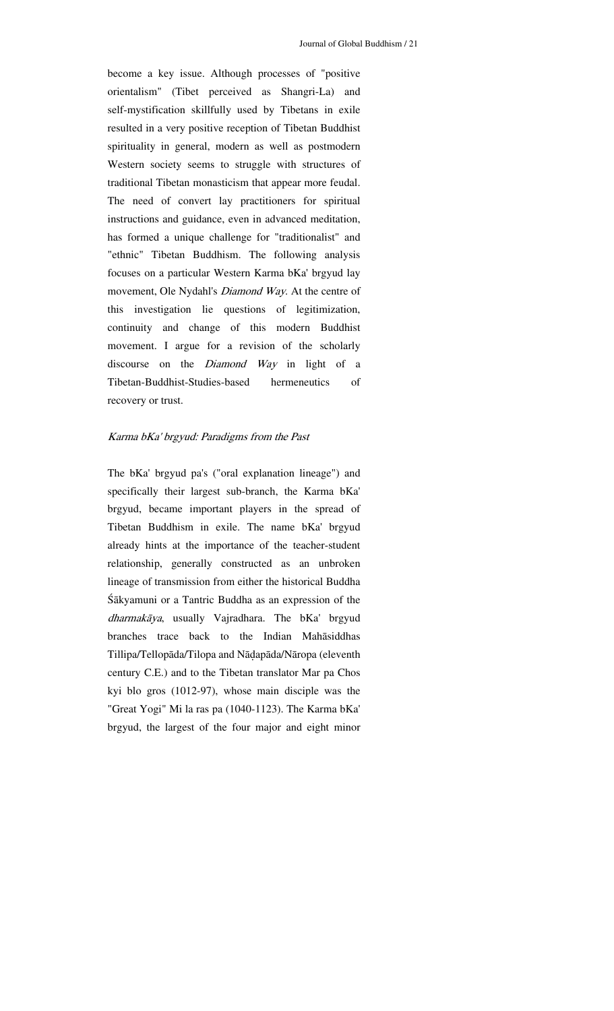become a key issue. Although processes of "positive orientalism" (Tibet perceived as Shangri-La) and self-mystification skillfully used by Tibetans in exile resulted in a very positive reception of Tibetan Buddhist spirituality in general, modern as well as postmodern Western society seems to struggle with structures of traditional Tibetan monasticism that appear more feudal. The need of convert lay practitioners for spiritual instructions and guidance, even in advanced meditation, has formed a unique challenge for "traditionalist" and "ethnic" Tibetan Buddhism. The following analysis focuses on a particular Western Karma bKa' brgyud lay movement, Ole Nydahl's Diamond Way. At the centre of this investigation lie questions of legitimization, continuity and change of this modern Buddhist movement. I argue for a revision of the scholarly discourse on the *Diamond Way* in light of a Tibetan-Buddhist-Studies-based hermeneutics of recovery or trust.

#### Karma bKa' brgyud: Paradigms from the Past

The bKa' brgyud pa's ("oral explanation lineage") and specifically their largest sub-branch, the Karma bKa' brgyud, became important players in the spread of Tibetan Buddhism in exile. The name bKa' brgyud already hints at the importance of the teacher-student relationship, generally constructed as an unbroken lineage of transmission from either the historical Buddha Śākyamuni or a Tantric Buddha as an expression of the dharmakāya, usually Vajradhara. The bKa' brgyud branches trace back to the Indian Mahāsiddhas Tillipa/Tellopāda/Tilopa and Nāḍapāda/Nāropa (eleventh century C.E.) and to the Tibetan translator Mar pa Chos kyi blo gros (1012-97), whose main disciple was the "Great Yogi" Mi la ras pa (1040-1123). The Karma bKa' brgyud, the largest of the four major and eight minor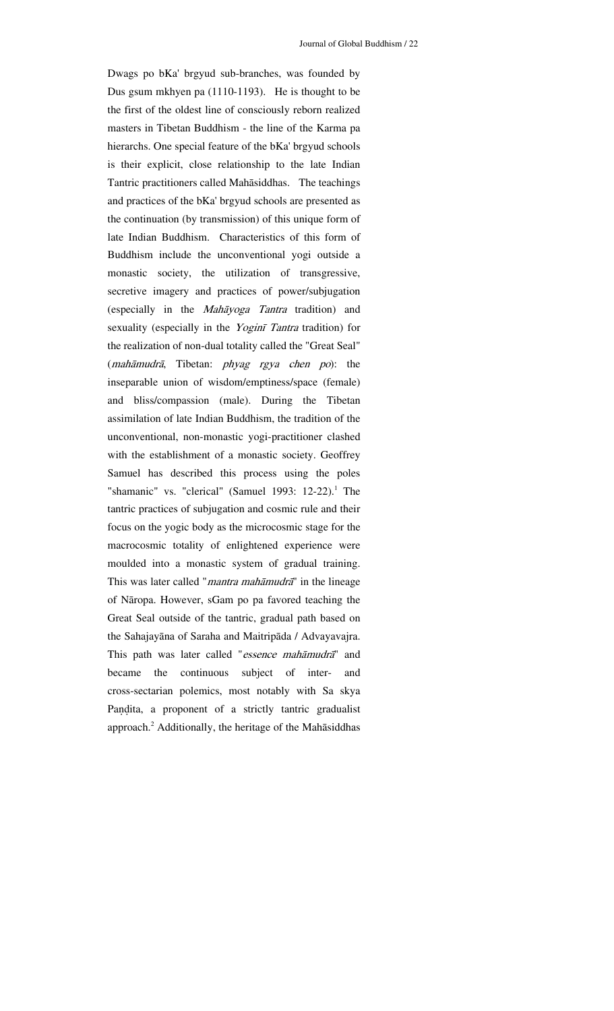Dwags po bKa' brgyud sub-branches, was founded by Dus gsum mkhyen pa (1110-1193). He is thought to be the first of the oldest line of consciously reborn realized masters in Tibetan Buddhism - the line of the Karma pa hierarchs. One special feature of the bKa' brgyud schools is their explicit, close relationship to the late Indian Tantric practitioners called Mahāsiddhas. The teachings and practices of the bKa' brgyud schools are presented as the continuation (by transmission) of this unique form of late Indian Buddhism. Characteristics of this form of Buddhism include the unconventional yogi outside a monastic society, the utilization of transgressive, secretive imagery and practices of power/subjugation (especially in the Mahāyoga Tantra tradition) and sexuality (especially in the Yoginī Tantra tradition) for the realization of non-dual totality called the "Great Seal" (mahāmudrā, Tibetan: phyag rgya chen po): the inseparable union of wisdom/emptiness/space (female) and bliss/compassion (male). During the Tibetan assimilation of late Indian Buddhism, the tradition of the unconventional, non-monastic yogi-practitioner clashed with the establishment of a monastic society. Geoffrey Samuel has described this process using the poles "shamanic" vs. "clerical" (Samuel 1993:  $12-22$ ).<sup>1</sup> The tantric practices of subjugation and cosmic rule and their focus on the yogic body as the microcosmic stage for the macrocosmic totality of enlightened experience were moulded into a monastic system of gradual training. This was later called "*mantra mahāmudrā*" in the lineage of Nāropa. However, sGam po pa favored teaching the Great Seal outside of the tantric, gradual path based on the Sahajayāna of Saraha and Maitripāda / Advayavajra. This path was later called "essence mahāmudrā" and became the continuous subject of inter- and cross-sectarian polemics, most notably with Sa skya Paṇḍita, a proponent of a strictly tantric gradualist approach.<sup>2</sup> Additionally, the heritage of the Mahāsiddhas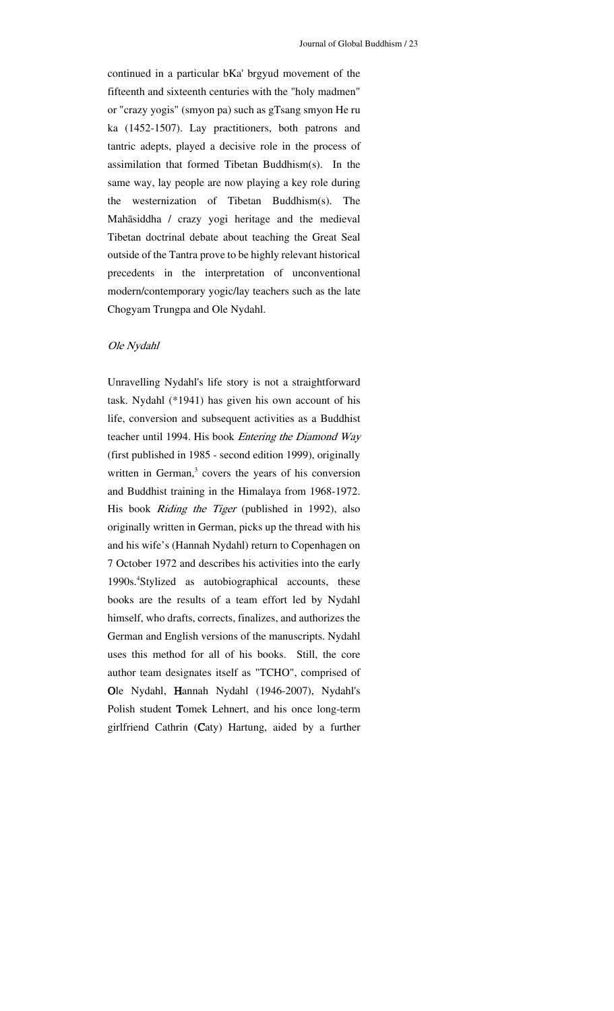continued in a particular bKa' brgyud movement of the fifteenth and sixteenth centuries with the "holy madmen" or "crazy yogis" (smyon pa) such as gTsang smyon He ru ka (1452-1507). Lay practitioners, both patrons and tantric adepts, played a decisive role in the process of assimilation that formed Tibetan Buddhism(s). In the same way, lay people are now playing a key role during the westernization of Tibetan Buddhism(s). The Mahāsiddha / crazy yogi heritage and the medieval Tibetan doctrinal debate about teaching the Great Seal outside of the Tantra prove to be highly relevant historical precedents in the interpretation of unconventional modern/contemporary yogic/lay teachers such as the late Chogyam Trungpa and Ole Nydahl.

#### Ole Nydahl

Unravelling Nydahl's life story is not a straightforward task. Nydahl (\*1941) has given his own account of his life, conversion and subsequent activities as a Buddhist teacher until 1994. His book Entering the Diamond Way (first published in 1985 - second edition 1999), originally written in German, $3$  covers the years of his conversion and Buddhist training in the Himalaya from 1968-1972. His book Riding the Tiger (published in 1992), also originally written in German, picks up the thread with his and his wife's (Hannah Nydahl) return to Copenhagen on 7 October 1972 and describes his activities into the early 1990s.<sup>4</sup>Stylized as autobiographical accounts, these books are the results of a team effort led by Nydahl himself, who drafts, corrects, finalizes, and authorizes the German and English versions of the manuscripts. Nydahl uses this method for all of his books. Still, the core author team designates itself as "TCHO", comprised of Ole Nydahl, Hannah Nydahl (1946-2007), Nydahl's Polish student Tomek Lehnert, and his once long-term girlfriend Cathrin (Caty) Hartung, aided by a further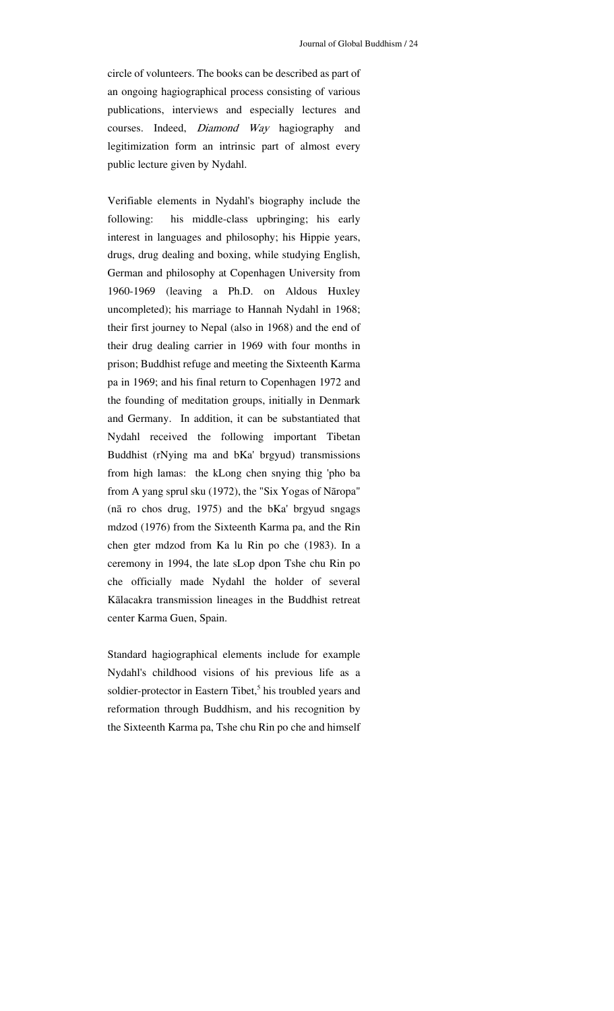circle of volunteers. The books can be described as part of an ongoing hagiographical process consisting of various publications, interviews and especially lectures and courses. Indeed, Diamond Way hagiography and legitimization form an intrinsic part of almost every public lecture given by Nydahl.

Verifiable elements in Nydahl's biography include the following: his middle-class upbringing; his early interest in languages and philosophy; his Hippie years, drugs, drug dealing and boxing, while studying English, German and philosophy at Copenhagen University from 1960-1969 (leaving a Ph.D. on Aldous Huxley uncompleted); his marriage to Hannah Nydahl in 1968; their first journey to Nepal (also in 1968) and the end of their drug dealing carrier in 1969 with four months in prison; Buddhist refuge and meeting the Sixteenth Karma pa in 1969; and his final return to Copenhagen 1972 and the founding of meditation groups, initially in Denmark and Germany. In addition, it can be substantiated that Nydahl received the following important Tibetan Buddhist (rNying ma and bKa' brgyud) transmissions from high lamas: the kLong chen snying thig 'pho ba from A yang sprul sku (1972), the "Six Yogas of Nāropa" (nā ro chos drug, 1975) and the bKa' brgyud sngags mdzod (1976) from the Sixteenth Karma pa, and the Rin chen gter mdzod from Ka lu Rin po che (1983). In a ceremony in 1994, the late sLop dpon Tshe chu Rin po che officially made Nydahl the holder of several Kālacakra transmission lineages in the Buddhist retreat center Karma Guen, Spain.

Standard hagiographical elements include for example Nydahl's childhood visions of his previous life as a soldier-protector in Eastern Tibet,<sup>5</sup> his troubled years and reformation through Buddhism, and his recognition by the Sixteenth Karma pa, Tshe chu Rin po che and himself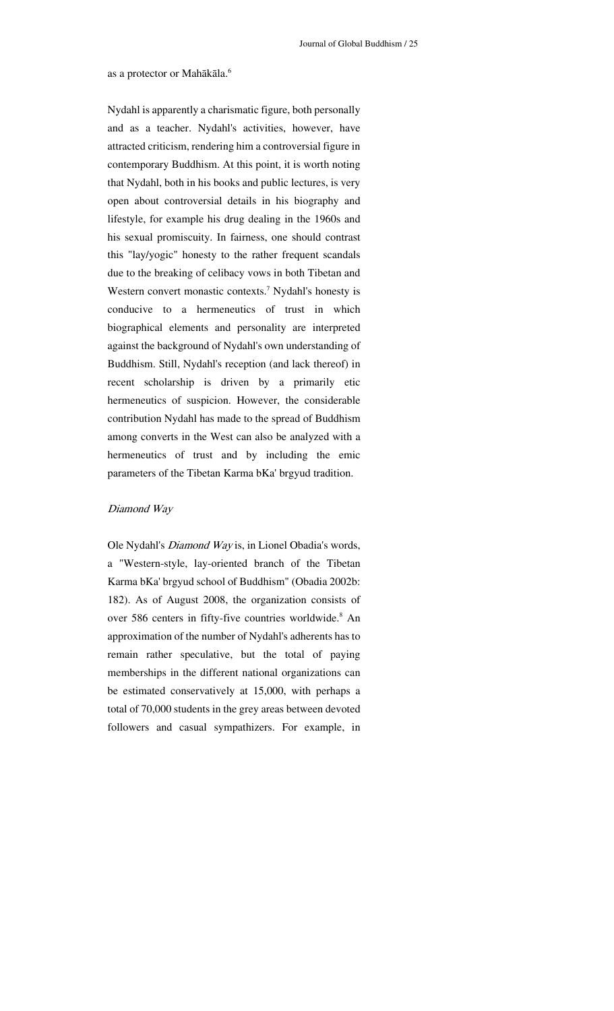#### as a protector or Mahākāla.<sup>6</sup>

Nydahl is apparently a charismatic figure, both personally and as a teacher. Nydahl's activities, however, have attracted criticism, rendering him a controversial figure in contemporary Buddhism. At this point, it is worth noting that Nydahl, both in his books and public lectures, is very open about controversial details in his biography and lifestyle, for example his drug dealing in the 1960s and his sexual promiscuity. In fairness, one should contrast this "lay/yogic" honesty to the rather frequent scandals due to the breaking of celibacy vows in both Tibetan and Western convert monastic contexts.<sup>7</sup> Nydahl's honesty is conducive to a hermeneutics of trust in which biographical elements and personality are interpreted against the background of Nydahl's own understanding of Buddhism. Still, Nydahl's reception (and lack thereof) in recent scholarship is driven by a primarily etic hermeneutics of suspicion. However, the considerable contribution Nydahl has made to the spread of Buddhism among converts in the West can also be analyzed with a hermeneutics of trust and by including the emic parameters of the Tibetan Karma bKa' brgyud tradition.

#### Diamond Way

Ole Nydahl's Diamond Way is, in Lionel Obadia's words, a "Western-style, lay-oriented branch of the Tibetan Karma bKa' brgyud school of Buddhism" (Obadia 2002b: 182). As of August 2008, the organization consists of over 586 centers in fifty-five countries worldwide.<sup>8</sup> An approximation of the number of Nydahl's adherents has to remain rather speculative, but the total of paying memberships in the different national organizations can be estimated conservatively at 15,000, with perhaps a total of 70,000 students in the grey areas between devoted followers and casual sympathizers. For example, in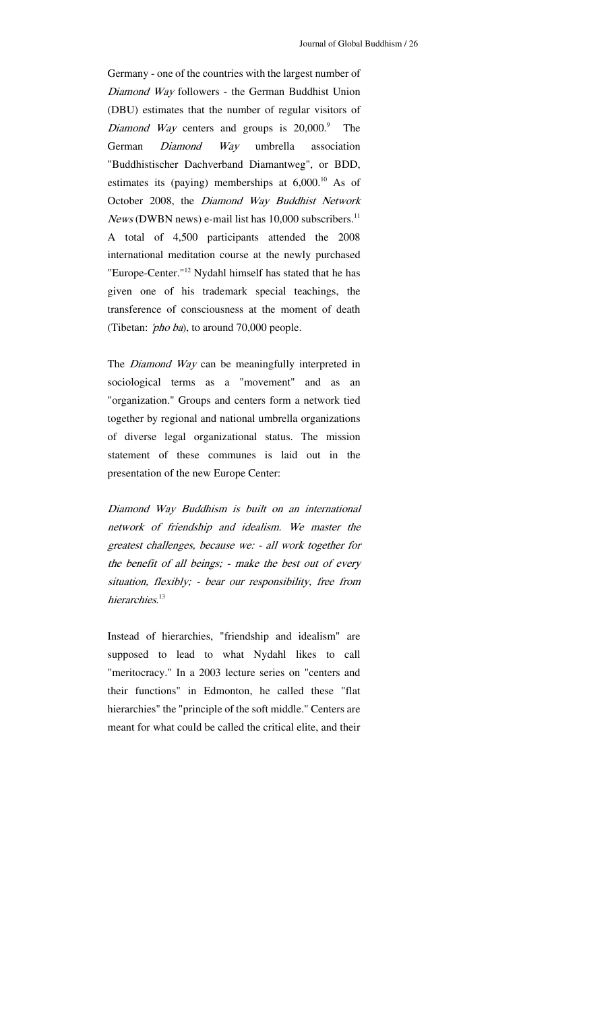Germany - one of the countries with the largest number of Diamond Way followers - the German Buddhist Union (DBU) estimates that the number of regular visitors of *Diamond Way* centers and groups is  $20,000$ .<sup>9</sup> The German *Diamond Way* umbrella association "Buddhistischer Dachverband Diamantweg", or BDD, estimates its (paying) memberships at  $6,000$ .<sup>10</sup> As of October 2008, the Diamond Way Buddhist Network  $News$  (DWBN news) e-mail list has 10,000 subscribers.<sup>11</sup> A total of 4,500 participants attended the 2008 international meditation course at the newly purchased "Europe-Center."<sup>12</sup> Nydahl himself has stated that he has given one of his trademark special teachings, the transference of consciousness at the moment of death (Tibetan: 'pho ba), to around 70,000 people.

The *Diamond Way* can be meaningfully interpreted in sociological terms as a "movement" and as an "organization." Groups and centers form a network tied together by regional and national umbrella organizations of diverse legal organizational status. The mission statement of these communes is laid out in the presentation of the new Europe Center:

Diamond Way Buddhism is built on an international network of friendship and idealism. We master the greatest challenges, because we: - all work together for the benefit of all beings; - make the best out of every situation, flexibly; - bear our responsibility, free from hierarchies.<sup>13</sup>

Instead of hierarchies, "friendship and idealism" are supposed to lead to what Nydahl likes to call "meritocracy." In a 2003 lecture series on "centers and their functions" in Edmonton, he called these "flat hierarchies" the "principle of the soft middle." Centers are meant for what could be called the critical elite, and their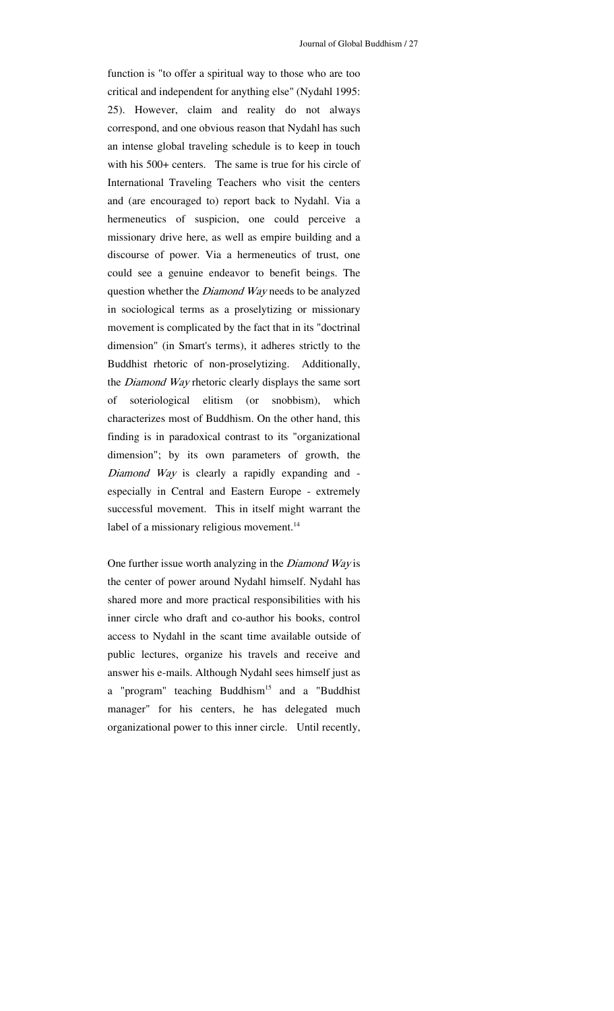function is "to offer a spiritual way to those who are too critical and independent for anything else" (Nydahl 1995: 25). However, claim and reality do not always correspond, and one obvious reason that Nydahl has such an intense global traveling schedule is to keep in touch with his 500+ centers. The same is true for his circle of International Traveling Teachers who visit the centers and (are encouraged to) report back to Nydahl. Via a hermeneutics of suspicion, one could perceive a missionary drive here, as well as empire building and a discourse of power. Via a hermeneutics of trust, one could see a genuine endeavor to benefit beings. The question whether the *Diamond Way* needs to be analyzed in sociological terms as a proselytizing or missionary movement is complicated by the fact that in its "doctrinal dimension" (in Smart's terms), it adheres strictly to the Buddhist rhetoric of non-proselytizing. Additionally, the *Diamond Way* rhetoric clearly displays the same sort of soteriological elitism (or snobbism), which characterizes most of Buddhism. On the other hand, this finding is in paradoxical contrast to its "organizational dimension"; by its own parameters of growth, the Diamond Way is clearly a rapidly expanding and especially in Central and Eastern Europe - extremely successful movement. This in itself might warrant the label of a missionary religious movement.<sup>14</sup>

One further issue worth analyzing in the *Diamond Way* is the center of power around Nydahl himself. Nydahl has shared more and more practical responsibilities with his inner circle who draft and co-author his books, control access to Nydahl in the scant time available outside of public lectures, organize his travels and receive and answer his e-mails. Although Nydahl sees himself just as a "program" teaching Buddhism<sup>15</sup> and a "Buddhist manager" for his centers, he has delegated much organizational power to this inner circle. Until recently,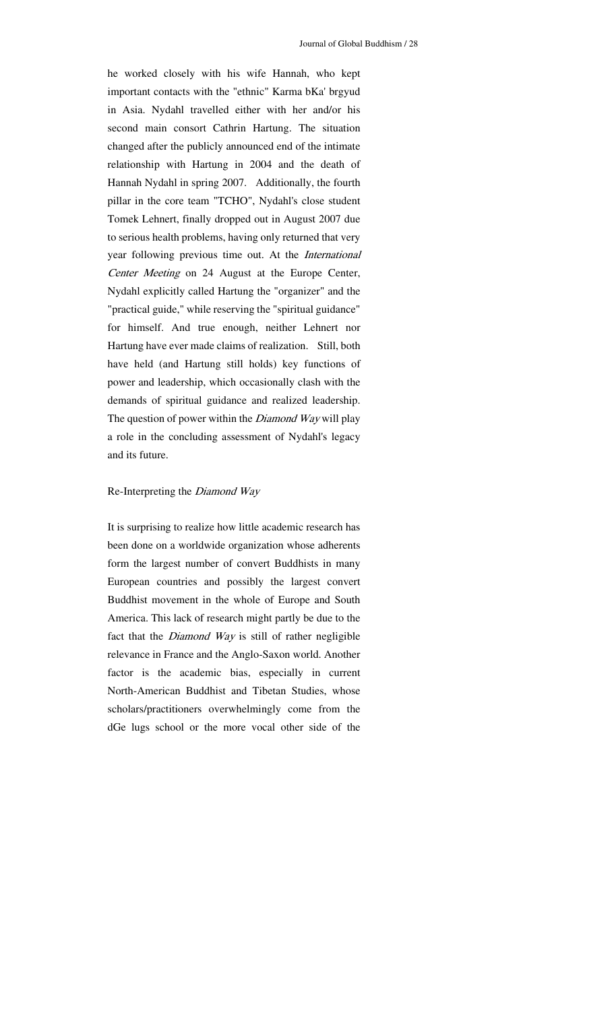he worked closely with his wife Hannah, who kept important contacts with the "ethnic" Karma bKa' brgyud in Asia. Nydahl travelled either with her and/or his second main consort Cathrin Hartung. The situation changed after the publicly announced end of the intimate relationship with Hartung in 2004 and the death of Hannah Nydahl in spring 2007. Additionally, the fourth pillar in the core team "TCHO", Nydahl's close student Tomek Lehnert, finally dropped out in August 2007 due to serious health problems, having only returned that very year following previous time out. At the International Center Meeting on 24 August at the Europe Center, Nydahl explicitly called Hartung the "organizer" and the "practical guide," while reserving the "spiritual guidance" for himself. And true enough, neither Lehnert nor Hartung have ever made claims of realization. Still, both have held (and Hartung still holds) key functions of power and leadership, which occasionally clash with the demands of spiritual guidance and realized leadership. The question of power within the *Diamond Way* will play a role in the concluding assessment of Nydahl's legacy and its future.

#### Re-Interpreting the Diamond Way

It is surprising to realize how little academic research has been done on a worldwide organization whose adherents form the largest number of convert Buddhists in many European countries and possibly the largest convert Buddhist movement in the whole of Europe and South America. This lack of research might partly be due to the fact that the *Diamond Way* is still of rather negligible relevance in France and the Anglo-Saxon world. Another factor is the academic bias, especially in current North-American Buddhist and Tibetan Studies, whose scholars/practitioners overwhelmingly come from the dGe lugs school or the more vocal other side of the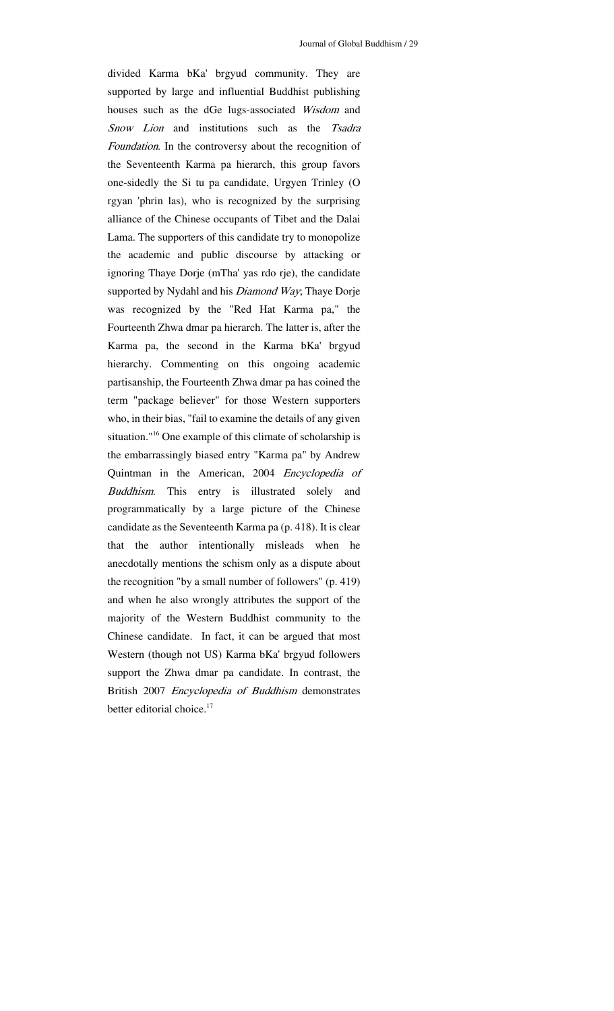divided Karma bKa' brgyud community. They are supported by large and influential Buddhist publishing houses such as the dGe lugs-associated Wisdom and Snow Lion and institutions such as the Tsadra Foundation. In the controversy about the recognition of the Seventeenth Karma pa hierarch, this group favors one-sidedly the Si tu pa candidate, Urgyen Trinley (O rgyan 'phrin las), who is recognized by the surprising alliance of the Chinese occupants of Tibet and the Dalai Lama. The supporters of this candidate try to monopolize the academic and public discourse by attacking or ignoring Thaye Dorje (mTha' yas rdo rje), the candidate supported by Nydahl and his *Diamond Way*; Thaye Dorje was recognized by the "Red Hat Karma pa," the Fourteenth Zhwa dmar pa hierarch. The latter is, after the Karma pa, the second in the Karma bKa' brgyud hierarchy. Commenting on this ongoing academic partisanship, the Fourteenth Zhwa dmar pa has coined the term "package believer" for those Western supporters who, in their bias, "fail to examine the details of any given situation."<sup>16</sup> One example of this climate of scholarship is the embarrassingly biased entry "Karma pa" by Andrew Quintman in the American, 2004 Encyclopedia of Buddhism. This entry is illustrated solely and programmatically by a large picture of the Chinese candidate as the Seventeenth Karma pa (p. 418). It is clear that the author intentionally misleads when he anecdotally mentions the schism only as a dispute about the recognition "by a small number of followers" (p. 419) and when he also wrongly attributes the support of the majority of the Western Buddhist community to the Chinese candidate. In fact, it can be argued that most Western (though not US) Karma bKa' brgyud followers support the Zhwa dmar pa candidate. In contrast, the British 2007 Encyclopedia of Buddhism demonstrates better editorial choice.<sup>17</sup>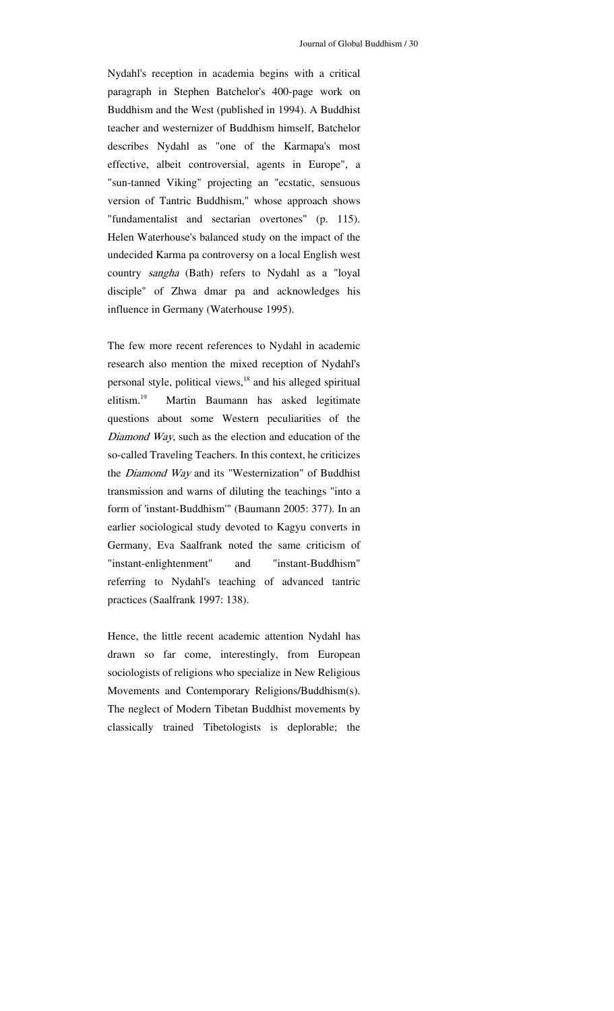Nydahl's reception in academia begins with a critical paragraph in Stephen Batchelor's 400-page work on Buddhism and the West (published in 1994). A Buddhist teacher and westernizer of Buddhism himself, Batchelor describes Nydahl as "one of the Karmapa's most effective, albeit controversial, agents in Europe", a "sun-tanned Viking" projecting an "ecstatic, sensuous version of Tantric Buddhism," whose approach shows "fundamentalist and sectarian overtones" (p. 115). Helen Waterhouse's balanced study on the impact of the undecided Karma pa controversy on a local English west country sangha (Bath) refers to Nydahl as a "loyal disciple" of Zhwa dmar pa and acknowledges his influence in Germany (Waterhouse 1995).

The few more recent references to Nydahl in academic research also mention the mixed reception of Nydahl's personal style, political views,<sup>18</sup> and his alleged spiritual elitism.19 Martin Baumann has asked legitimate questions about some Western peculiarities of the Diamond Way, such as the election and education of the so-called Traveling Teachers. In this context, he criticizes the *Diamond Way* and its "Westernization" of Buddhist transmission and warns of diluting the teachings "into a form of 'instant-Buddhism'" (Baumann 2005: 377). In an earlier sociological study devoted to Kagyu converts in Germany, Eva Saalfrank noted the same criticism of "instant-enlightenment" and "instant-Buddhism" referring to Nydahl's teaching of advanced tantric practices (Saalfrank 1997: 138).

Hence, the little recent academic attention Nydahl has drawn so far come, interestingly, from European sociologists of religions who specialize in New Religious Movements and Contemporary Religions/Buddhism(s). The neglect of Modern Tibetan Buddhist movements by classically trained Tibetologists is deplorable; the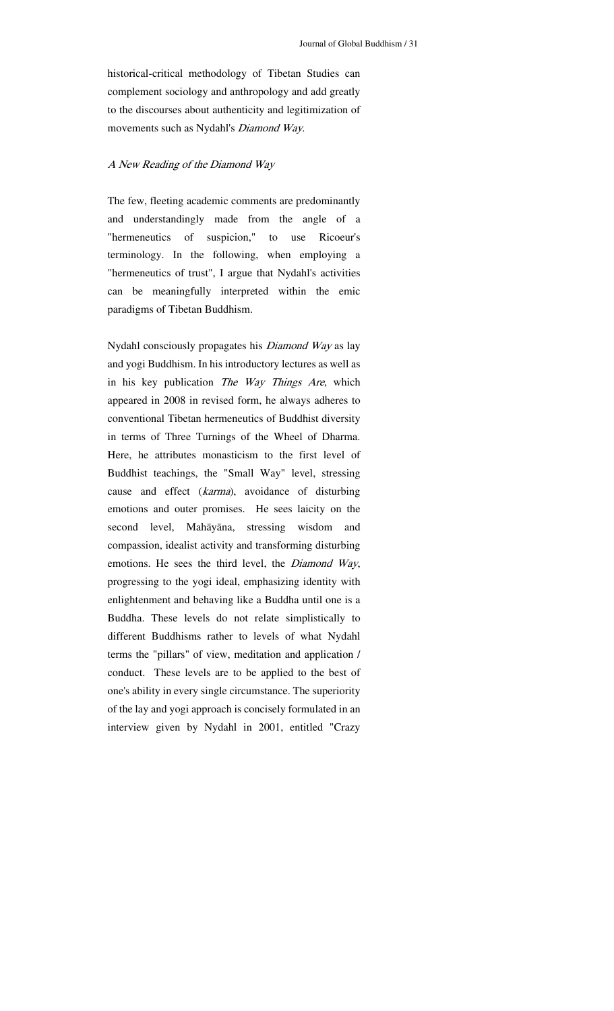historical-critical methodology of Tibetan Studies can complement sociology and anthropology and add greatly to the discourses about authenticity and legitimization of movements such as Nydahl's Diamond Way.

#### A New Reading of the Diamond Way

The few, fleeting academic comments are predominantly and understandingly made from the angle of a "hermeneutics of suspicion," to use Ricoeur's terminology. In the following, when employing a "hermeneutics of trust", I argue that Nydahl's activities can be meaningfully interpreted within the emic paradigms of Tibetan Buddhism.

Nydahl consciously propagates his Diamond Way as lay and yogi Buddhism. In his introductory lectures as well as in his key publication The Way Things Are, which appeared in 2008 in revised form, he always adheres to conventional Tibetan hermeneutics of Buddhist diversity in terms of Three Turnings of the Wheel of Dharma. Here, he attributes monasticism to the first level of Buddhist teachings, the "Small Way" level, stressing cause and effect (karma), avoidance of disturbing emotions and outer promises. He sees laicity on the second level, Mahāyāna, stressing wisdom and compassion, idealist activity and transforming disturbing emotions. He sees the third level, the Diamond Way, progressing to the yogi ideal, emphasizing identity with enlightenment and behaving like a Buddha until one is a Buddha. These levels do not relate simplistically to different Buddhisms rather to levels of what Nydahl terms the "pillars" of view, meditation and application / conduct. These levels are to be applied to the best of one's ability in every single circumstance. The superiority of the lay and yogi approach is concisely formulated in an interview given by Nydahl in 2001, entitled "Crazy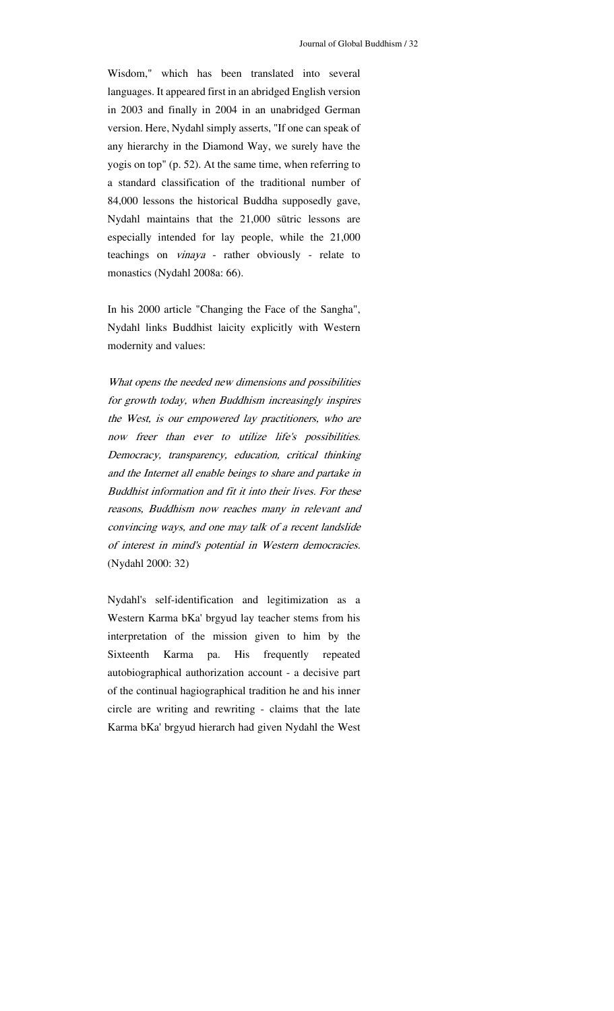Wisdom," which has been translated into several languages. It appeared first in an abridged English version in 2003 and finally in 2004 in an unabridged German version. Here, Nydahl simply asserts, "If one can speak of any hierarchy in the Diamond Way, we surely have the yogis on top" (p. 52). At the same time, when referring to a standard classification of the traditional number of 84,000 lessons the historical Buddha supposedly gave, Nydahl maintains that the 21,000 sūtric lessons are especially intended for lay people, while the 21,000 teachings on vinaya - rather obviously - relate to monastics (Nydahl 2008a: 66).

In his 2000 article "Changing the Face of the Sangha", Nydahl links Buddhist laicity explicitly with Western modernity and values:

What opens the needed new dimensions and possibilities for growth today, when Buddhism increasingly inspires the West, is our empowered lay practitioners, who are now freer than ever to utilize life's possibilities. Democracy, transparency, education, critical thinking and the Internet all enable beings to share and partake in Buddhist information and fit it into their lives. For these reasons, Buddhism now reaches many in relevant and convincing ways, and one may talk of a recent landslide of interest in mind's potential in Western democracies. (Nydahl 2000: 32)

Nydahl's self-identification and legitimization as a Western Karma bKa' brgyud lay teacher stems from his interpretation of the mission given to him by the Sixteenth Karma pa. His frequently repeated autobiographical authorization account - a decisive part of the continual hagiographical tradition he and his inner circle are writing and rewriting - claims that the late Karma bKa' brgyud hierarch had given Nydahl the West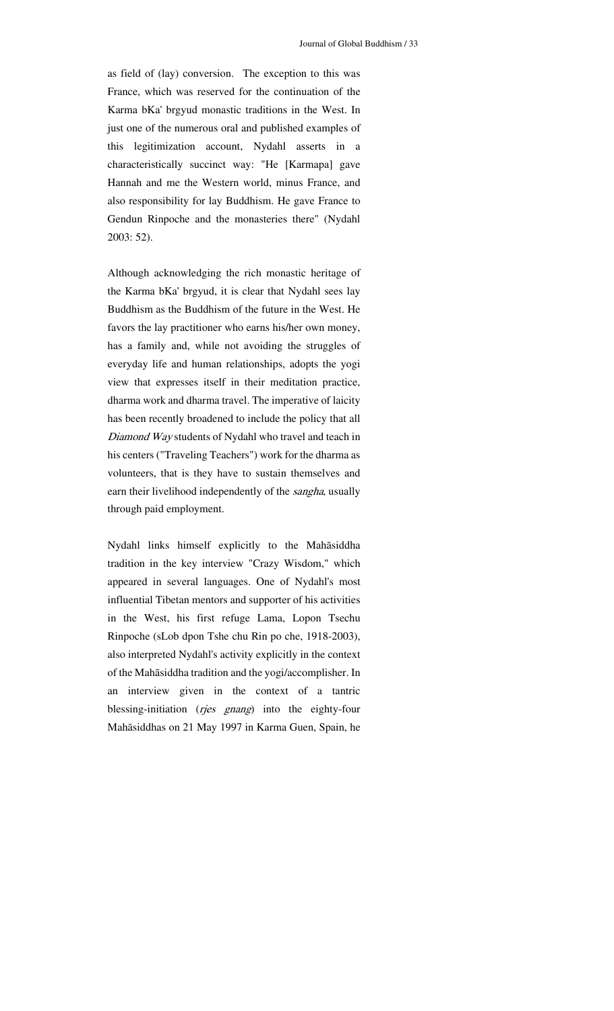as field of (lay) conversion. The exception to this was France, which was reserved for the continuation of the Karma bKa' brgyud monastic traditions in the West. In just one of the numerous oral and published examples of this legitimization account, Nydahl asserts in a characteristically succinct way: "He [Karmapa] gave Hannah and me the Western world, minus France, and also responsibility for lay Buddhism. He gave France to Gendun Rinpoche and the monasteries there" (Nydahl 2003: 52).

Although acknowledging the rich monastic heritage of the Karma bKa' brgyud, it is clear that Nydahl sees lay Buddhism as the Buddhism of the future in the West. He favors the lay practitioner who earns his/her own money, has a family and, while not avoiding the struggles of everyday life and human relationships, adopts the yogi view that expresses itself in their meditation practice, dharma work and dharma travel. The imperative of laicity has been recently broadened to include the policy that all Diamond Way students of Nydahl who travel and teach in his centers ("Traveling Teachers") work for the dharma as volunteers, that is they have to sustain themselves and earn their livelihood independently of the sangha, usually through paid employment.

Nydahl links himself explicitly to the Mahāsiddha tradition in the key interview "Crazy Wisdom," which appeared in several languages. One of Nydahl's most influential Tibetan mentors and supporter of his activities in the West, his first refuge Lama, Lopon Tsechu Rinpoche (sLob dpon Tshe chu Rin po che, 1918-2003), also interpreted Nydahl's activity explicitly in the context of the Mahāsiddha tradition and the yogi/accomplisher. In an interview given in the context of a tantric blessing-initiation (rjes gnang) into the eighty-four Mahāsiddhas on 21 May 1997 in Karma Guen, Spain, he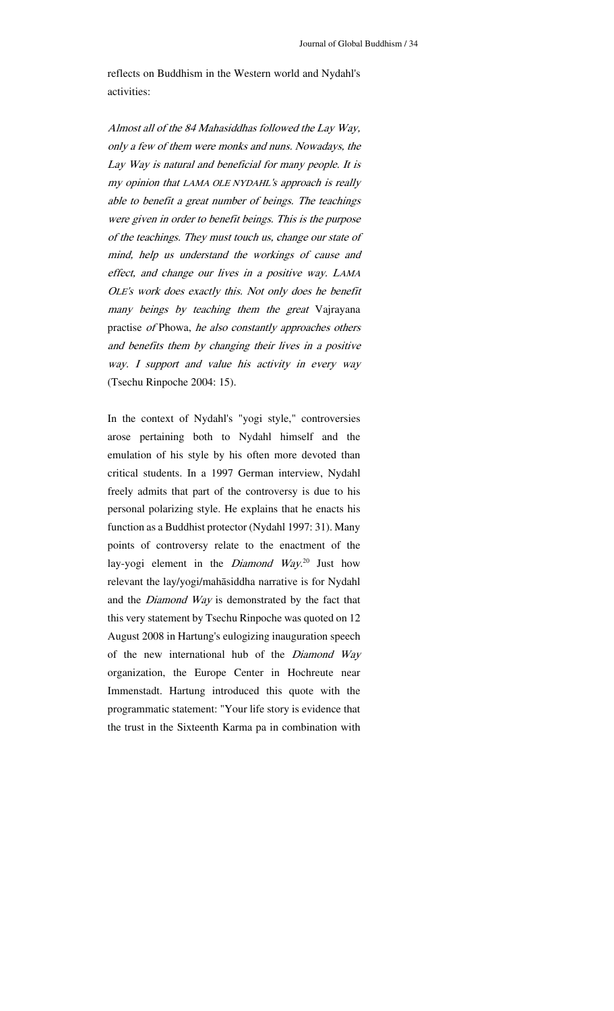reflects on Buddhism in the Western world and Nydahl's activities:

Almost all of the 84 Mahasiddhas followed the Lay Way, only a few of them were monks and nuns. Nowadays, the Lay Way is natural and beneficial for many people. It is my opinion that LAMA OLE NYDAHL's approach is really able to benefit a great number of beings. The teachings were given in order to benefit beings. This is the purpose of the teachings. They must touch us, change our state of mind, help us understand the workings of cause and effect, and change our lives in a positive way. LAMA OLE's work does exactly this. Not only does he benefit many beings by teaching them the great Vajrayana practise of Phowa, he also constantly approaches others and benefits them by changing their lives in a positive way. I support and value his activity in every way (Tsechu Rinpoche 2004: 15).

In the context of Nydahl's "yogi style," controversies arose pertaining both to Nydahl himself and the emulation of his style by his often more devoted than critical students. In a 1997 German interview, Nydahl freely admits that part of the controversy is due to his personal polarizing style. He explains that he enacts his function as a Buddhist protector (Nydahl 1997: 31). Many points of controversy relate to the enactment of the lay-yogi element in the *Diamond Way*.<sup>20</sup> Just how relevant the lay/yogi/mahāsiddha narrative is for Nydahl and the Diamond Way is demonstrated by the fact that this very statement by Tsechu Rinpoche was quoted on 12 August 2008 in Hartung's eulogizing inauguration speech of the new international hub of the Diamond Way organization, the Europe Center in Hochreute near Immenstadt. Hartung introduced this quote with the programmatic statement: "Your life story is evidence that the trust in the Sixteenth Karma pa in combination with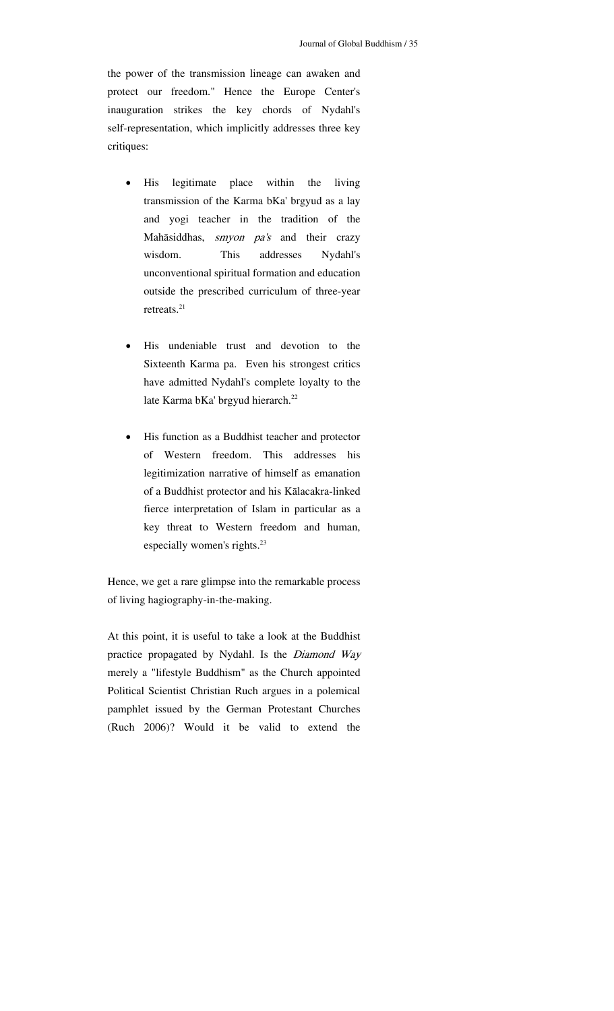the power of the transmission lineage can awaken and protect our freedom." Hence the Europe Center's inauguration strikes the key chords of Nydahl's self-representation, which implicitly addresses three key critiques:

- His legitimate place within the living transmission of the Karma bKa' brgyud as a lay and yogi teacher in the tradition of the Mahāsiddhas, smyon pa's and their crazy wisdom. This addresses Nydahl's unconventional spiritual formation and education outside the prescribed curriculum of three-year retreats.<sup>21</sup>
- His undeniable trust and devotion to the Sixteenth Karma pa. Even his strongest critics have admitted Nydahl's complete loyalty to the late Karma bKa' brgyud hierarch.<sup>22</sup>
- His function as a Buddhist teacher and protector of Western freedom. This addresses his legitimization narrative of himself as emanation of a Buddhist protector and his Kālacakra-linked fierce interpretation of Islam in particular as a key threat to Western freedom and human, especially women's rights.<sup>23</sup>

Hence, we get a rare glimpse into the remarkable process of living hagiography-in-the-making.

At this point, it is useful to take a look at the Buddhist practice propagated by Nydahl. Is the Diamond Way merely a "lifestyle Buddhism" as the Church appointed Political Scientist Christian Ruch argues in a polemical pamphlet issued by the German Protestant Churches (Ruch 2006)? Would it be valid to extend the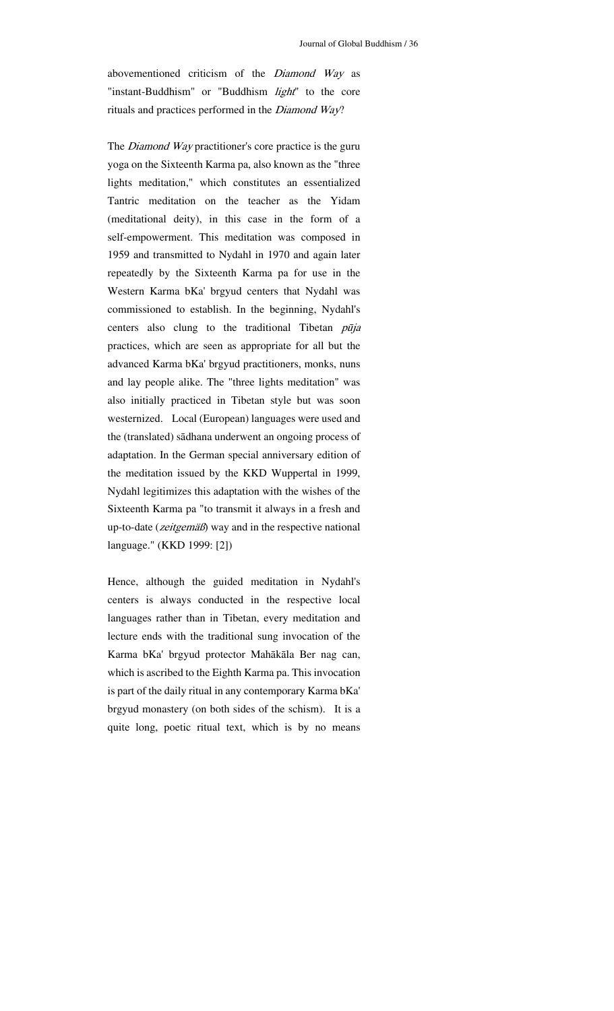abovementioned criticism of the Diamond Way as "instant-Buddhism" or "Buddhism *light*" to the core rituals and practices performed in the Diamond Way?

The *Diamond Way* practitioner's core practice is the guru yoga on the Sixteenth Karma pa, also known as the "three lights meditation," which constitutes an essentialized Tantric meditation on the teacher as the Yidam (meditational deity), in this case in the form of a self-empowerment. This meditation was composed in 1959 and transmitted to Nydahl in 1970 and again later repeatedly by the Sixteenth Karma pa for use in the Western Karma bKa' brgyud centers that Nydahl was commissioned to establish. In the beginning, Nydahl's centers also clung to the traditional Tibetan pūja practices, which are seen as appropriate for all but the advanced Karma bKa' brgyud practitioners, monks, nuns and lay people alike. The "three lights meditation" was also initially practiced in Tibetan style but was soon westernized. Local (European) languages were used and the (translated) sādhana underwent an ongoing process of adaptation. In the German special anniversary edition of the meditation issued by the KKD Wuppertal in 1999, Nydahl legitimizes this adaptation with the wishes of the Sixteenth Karma pa "to transmit it always in a fresh and up-to-date (*zeitgemäß*) way and in the respective national language." (KKD 1999: [2])

Hence, although the guided meditation in Nydahl's centers is always conducted in the respective local languages rather than in Tibetan, every meditation and lecture ends with the traditional sung invocation of the Karma bKa' brgyud protector Mahākāla Ber nag can, which is ascribed to the Eighth Karma pa. This invocation is part of the daily ritual in any contemporary Karma bKa' brgyud monastery (on both sides of the schism). It is a quite long, poetic ritual text, which is by no means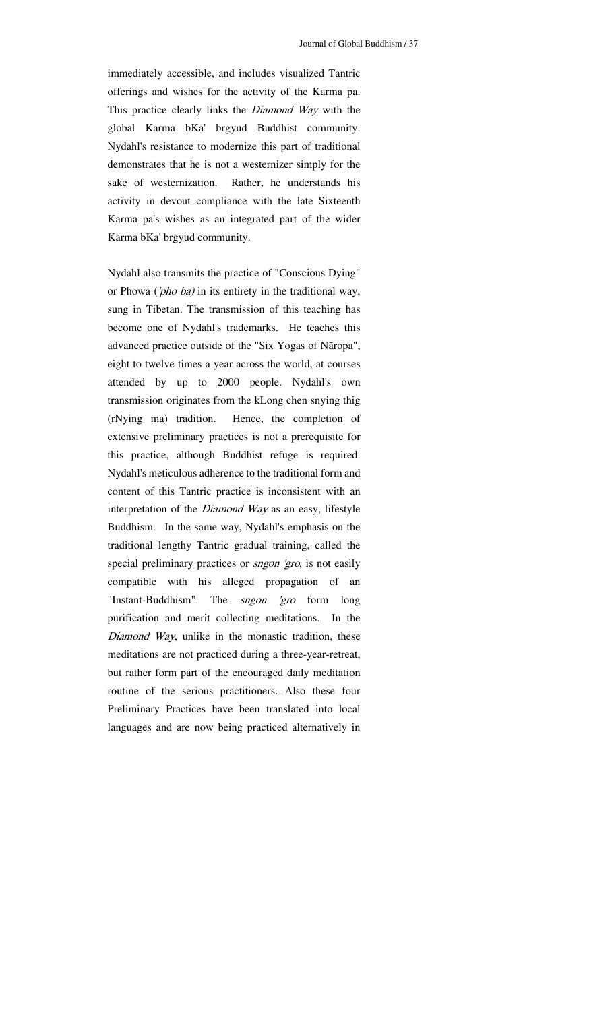immediately accessible, and includes visualized Tantric offerings and wishes for the activity of the Karma pa. This practice clearly links the *Diamond Way* with the global Karma bKa' brgyud Buddhist community. Nydahl's resistance to modernize this part of traditional demonstrates that he is not a westernizer simply for the sake of westernization. Rather, he understands his activity in devout compliance with the late Sixteenth Karma pa's wishes as an integrated part of the wider Karma bKa' brgyud community.

Nydahl also transmits the practice of "Conscious Dying" or Phowa ('pho ba) in its entirety in the traditional way, sung in Tibetan. The transmission of this teaching has become one of Nydahl's trademarks. He teaches this advanced practice outside of the "Six Yogas of Nāropa", eight to twelve times a year across the world, at courses attended by up to 2000 people. Nydahl's own transmission originates from the kLong chen snying thig (rNying ma) tradition. Hence, the completion of extensive preliminary practices is not a prerequisite for this practice, although Buddhist refuge is required. Nydahl's meticulous adherence to the traditional form and content of this Tantric practice is inconsistent with an interpretation of the *Diamond Way* as an easy, lifestyle Buddhism. In the same way, Nydahl's emphasis on the traditional lengthy Tantric gradual training, called the special preliminary practices or *sngon 'gro*, is not easily compatible with his alleged propagation of an "Instant-Buddhism". The *sngon 'gro* form long purification and merit collecting meditations. In the Diamond Way, unlike in the monastic tradition, these meditations are not practiced during a three-year-retreat, but rather form part of the encouraged daily meditation routine of the serious practitioners. Also these four Preliminary Practices have been translated into local languages and are now being practiced alternatively in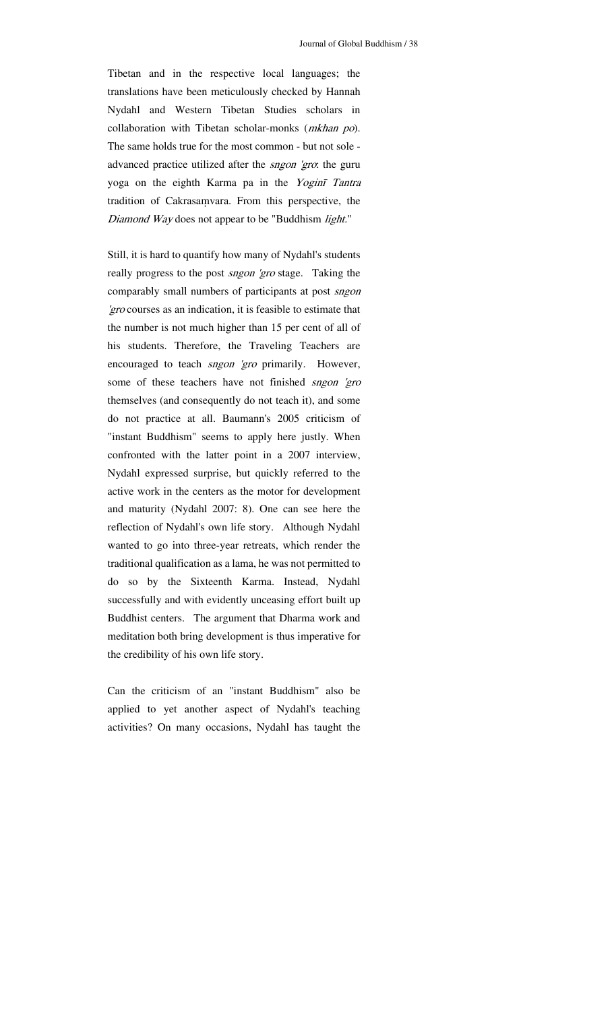Tibetan and in the respective local languages; the translations have been meticulously checked by Hannah Nydahl and Western Tibetan Studies scholars in collaboration with Tibetan scholar-monks (mkhan po). The same holds true for the most common - but not sole advanced practice utilized after the *sngon 'gro*: the guru yoga on the eighth Karma pa in the Yoginī Tantra tradition of Cakrasaṃvara. From this perspective, the Diamond Way does not appear to be "Buddhism light."

Still, it is hard to quantify how many of Nydahl's students really progress to the post *sngon 'gro* stage. Taking the comparably small numbers of participants at post *sngon* 'gro courses as an indication, it is feasible to estimate that the number is not much higher than 15 per cent of all of his students. Therefore, the Traveling Teachers are encouraged to teach *sngon 'gro* primarily. However, some of these teachers have not finished sngon 'gro themselves (and consequently do not teach it), and some do not practice at all. Baumann's 2005 criticism of "instant Buddhism" seems to apply here justly. When confronted with the latter point in a 2007 interview, Nydahl expressed surprise, but quickly referred to the active work in the centers as the motor for development and maturity (Nydahl 2007: 8). One can see here the reflection of Nydahl's own life story. Although Nydahl wanted to go into three-year retreats, which render the traditional qualification as a lama, he was not permitted to do so by the Sixteenth Karma. Instead, Nydahl successfully and with evidently unceasing effort built up Buddhist centers. The argument that Dharma work and meditation both bring development is thus imperative for the credibility of his own life story.

Can the criticism of an "instant Buddhism" also be applied to yet another aspect of Nydahl's teaching activities? On many occasions, Nydahl has taught the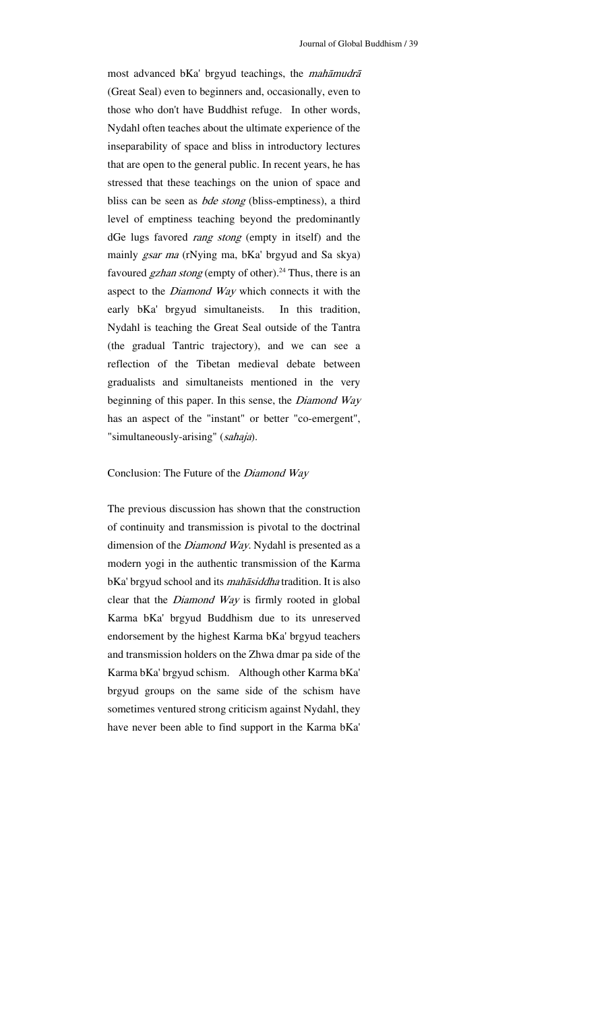most advanced bKa' brgyud teachings, the mahāmudr<sup>ā</sup> (Great Seal) even to beginners and, occasionally, even to those who don't have Buddhist refuge. In other words, Nydahl often teaches about the ultimate experience of the inseparability of space and bliss in introductory lectures that are open to the general public. In recent years, he has stressed that these teachings on the union of space and bliss can be seen as *bde stong* (bliss-emptiness), a third level of emptiness teaching beyond the predominantly dGe lugs favored rang stong (empty in itself) and the mainly gsar ma (rNying ma, bKa' brgyud and Sa skya) favoured *gzhan stong* (empty of other).<sup>24</sup> Thus, there is an aspect to the *Diamond Way* which connects it with the early bKa' brgyud simultaneists. In this tradition, Nydahl is teaching the Great Seal outside of the Tantra (the gradual Tantric trajectory), and we can see a reflection of the Tibetan medieval debate between gradualists and simultaneists mentioned in the very beginning of this paper. In this sense, the *Diamond Way* has an aspect of the "instant" or better "co-emergent", "simultaneously-arising" (sahaja).

#### Conclusion: The Future of the Diamond Way

The previous discussion has shown that the construction of continuity and transmission is pivotal to the doctrinal dimension of the *Diamond Way*. Nydahl is presented as a modern yogi in the authentic transmission of the Karma bKa' brgyud school and its mahāsiddha tradition. It is also clear that the Diamond Way is firmly rooted in global Karma bKa' brgyud Buddhism due to its unreserved endorsement by the highest Karma bKa' brgyud teachers and transmission holders on the Zhwa dmar pa side of the Karma bKa' brgyud schism. Although other Karma bKa' brgyud groups on the same side of the schism have sometimes ventured strong criticism against Nydahl, they have never been able to find support in the Karma bKa'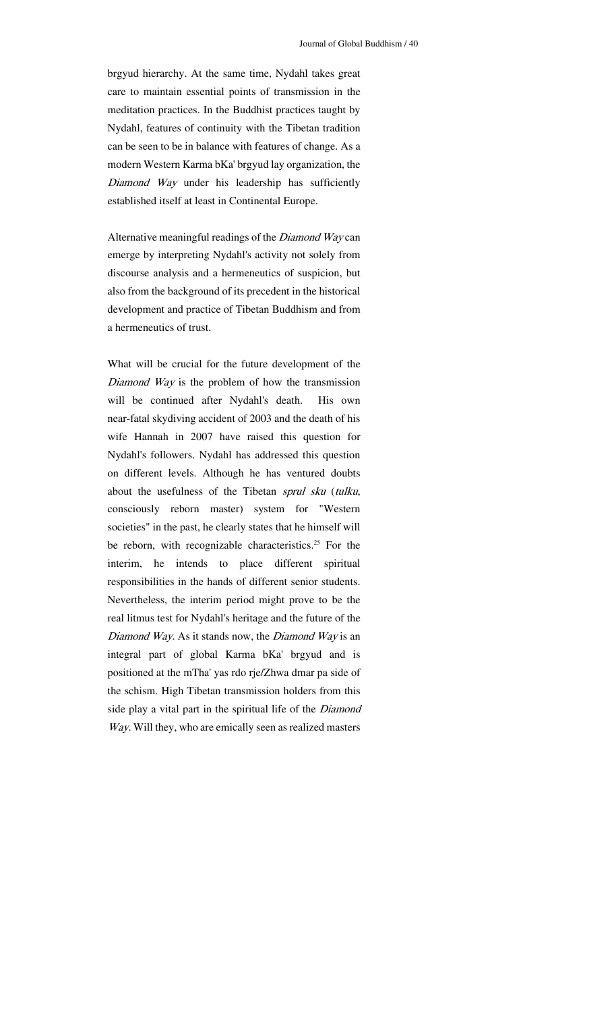brgyud hierarchy. At the same time, Nydahl takes great care to maintain essential points of transmission in the meditation practices. In the Buddhist practices taught by Nydahl, features of continuity with the Tibetan tradition can be seen to be in balance with features of change. As a modern Western Karma bKa' brgyud lay organization, the Diamond Way under his leadership has sufficiently established itself at least in Continental Europe.

Alternative meaningful readings of the *Diamond Way* can emerge by interpreting Nydahl's activity not solely from discourse analysis and a hermeneutics of suspicion, but also from the background of its precedent in the historical development and practice of Tibetan Buddhism and from a hermeneutics of trust.

What will be crucial for the future development of the Diamond Way is the problem of how the transmission will be continued after Nydahl's death. His own near-fatal skydiving accident of 2003 and the death of his wife Hannah in 2007 have raised this question for Nydahl's followers. Nydahl has addressed this question on different levels. Although he has ventured doubts about the usefulness of the Tibetan sprul sku (tulku, consciously reborn master) system for "Western societies" in the past, he clearly states that he himself will be reborn, with recognizable characteristics.<sup>25</sup> For the interim, he intends to place different spiritual responsibilities in the hands of different senior students. Nevertheless, the interim period might prove to be the real litmus test for Nydahl's heritage and the future of the Diamond Way. As it stands now, the Diamond Way is an integral part of global Karma bKa' brgyud and is positioned at the mTha' yas rdo rje/Zhwa dmar pa side of the schism. High Tibetan transmission holders from this side play a vital part in the spiritual life of the *Diamond* Way. Will they, who are emically seen as realized masters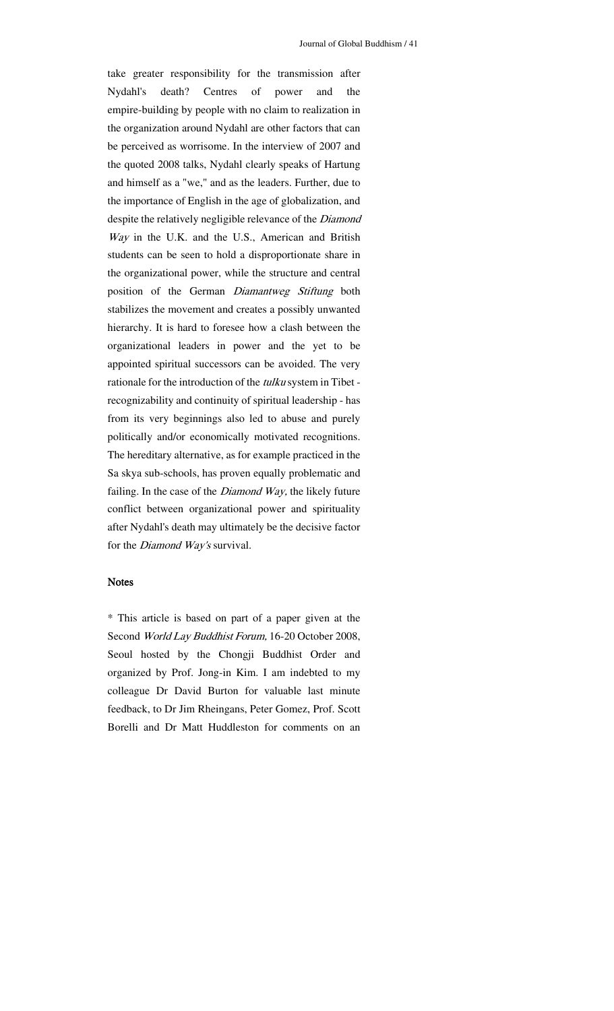take greater responsibility for the transmission after Nydahl's death? Centres of power and the empire-building by people with no claim to realization in the organization around Nydahl are other factors that can be perceived as worrisome. In the interview of 2007 and the quoted 2008 talks, Nydahl clearly speaks of Hartung and himself as a "we," and as the leaders. Further, due to the importance of English in the age of globalization, and despite the relatively negligible relevance of the Diamond Way in the U.K. and the U.S., American and British students can be seen to hold a disproportionate share in the organizational power, while the structure and central position of the German Diamantweg Stiftung both stabilizes the movement and creates a possibly unwanted hierarchy. It is hard to foresee how a clash between the organizational leaders in power and the yet to be appointed spiritual successors can be avoided. The very rationale for the introduction of the tulku system in Tibet recognizability and continuity of spiritual leadership - has from its very beginnings also led to abuse and purely politically and/or economically motivated recognitions. The hereditary alternative, as for example practiced in the Sa skya sub-schools, has proven equally problematic and failing. In the case of the *Diamond Way*, the likely future conflict between organizational power and spirituality after Nydahl's death may ultimately be the decisive factor for the *Diamond Way's* survival.

#### Notes

\* This article is based on part of a paper given at the Second World Lay Buddhist Forum, 16-20 October 2008, Seoul hosted by the Chongji Buddhist Order and organized by Prof. Jong-in Kim. I am indebted to my colleague Dr David Burton for valuable last minute feedback, to Dr Jim Rheingans, Peter Gomez, Prof. Scott Borelli and Dr Matt Huddleston for comments on an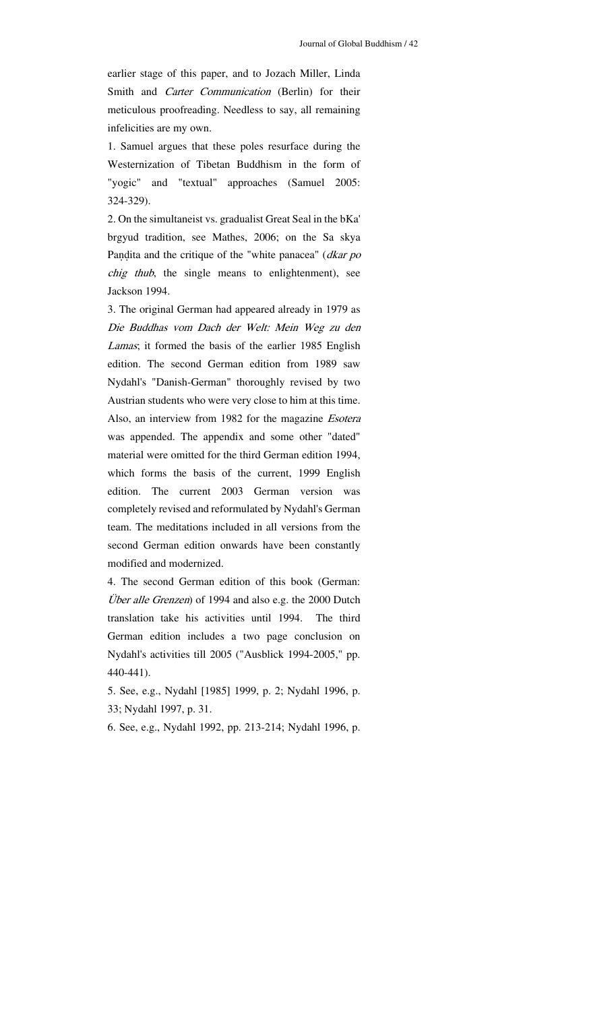earlier stage of this paper, and to Jozach Miller, Linda Smith and *Carter Communication* (Berlin) for their meticulous proofreading. Needless to say, all remaining infelicities are my own.

1. Samuel argues that these poles resurface during the Westernization of Tibetan Buddhism in the form of "yogic" and "textual" approaches (Samuel 2005: 324-329).

2. On the simultaneist vs. gradualist Great Seal in the bKa' brgyud tradition, see Mathes, 2006; on the Sa skya Paṇḍita and the critique of the "white panacea" (dkar po chig thub, the single means to enlightenment), see Jackson 1994.

3. The original German had appeared already in 1979 as Die Buddhas vom Dach der Welt: Mein Weg zu den Lamas; it formed the basis of the earlier 1985 English edition. The second German edition from 1989 saw Nydahl's "Danish-German" thoroughly revised by two Austrian students who were very close to him at this time. Also, an interview from 1982 for the magazine *Esotera* was appended. The appendix and some other "dated" material were omitted for the third German edition 1994, which forms the basis of the current, 1999 English edition. The current 2003 German version was completely revised and reformulated by Nydahl's German team. The meditations included in all versions from the second German edition onwards have been constantly modified and modernized.

4. The second German edition of this book (German: Über alle Grenzen) of 1994 and also e.g. the 2000 Dutch translation take his activities until 1994. The third German edition includes a two page conclusion on Nydahl's activities till 2005 ("Ausblick 1994-2005," pp. 440-441).

5. See, e.g., Nydahl [1985] 1999, p. 2; Nydahl 1996, p. 33; Nydahl 1997, p. 31.

6. See, e.g., Nydahl 1992, pp. 213-214; Nydahl 1996, p.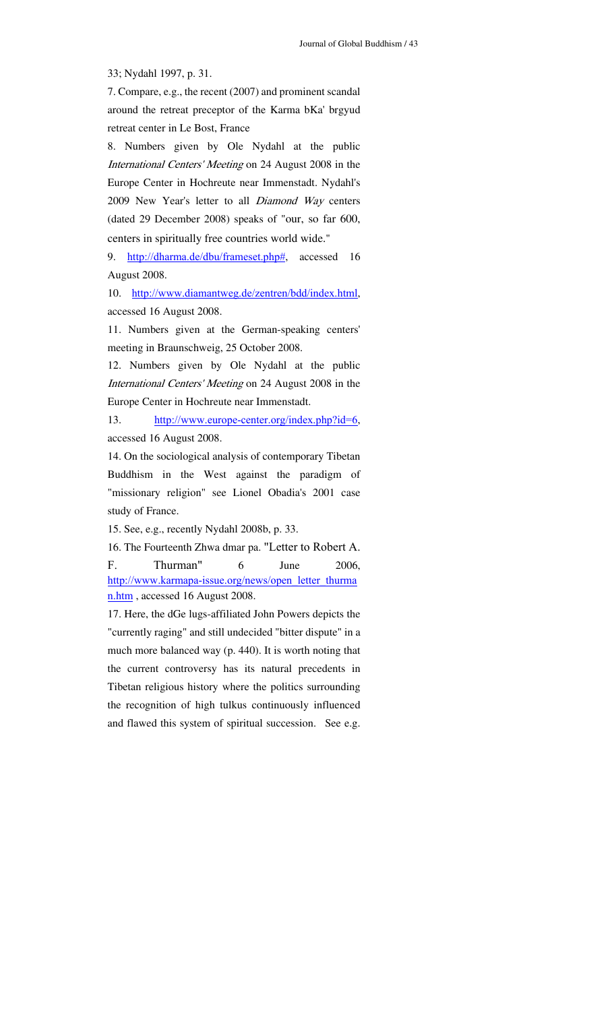33; Nydahl 1997, p. 31.

7. Compare, e.g., the recent (2007) and prominent scandal around the retreat preceptor of the Karma bKa' brgyud retreat center in Le Bost, France

8. Numbers given by Ole Nydahl at the public International Centers' Meeting on 24 August 2008 in the Europe Center in Hochreute near Immenstadt. Nydahl's 2009 New Year's letter to all Diamond Way centers (dated 29 December 2008) speaks of "our, so far 600, centers in spiritually free countries world wide."

9. http://dharma.de/dbu/frameset.php#, accessed 16 August 2008.

10. http://www.diamantweg.de/zentren/bdd/index.html, accessed 16 August 2008.

11. Numbers given at the German-speaking centers' meeting in Braunschweig, 25 October 2008.

12. Numbers given by Ole Nydahl at the public International Centers' Meeting on 24 August 2008 in the Europe Center in Hochreute near Immenstadt.

13. http://www.europe-center.org/index.php?id=6, accessed 16 August 2008.

14. On the sociological analysis of contemporary Tibetan Buddhism in the West against the paradigm of "missionary religion" see Lionel Obadia's 2001 case study of France.

15. See, e.g., recently Nydahl 2008b, p. 33.

16. The Fourteenth Zhwa dmar pa. "Letter to Robert A. F. Thurman" 6 June 2006, http://www.karmapa-issue.org/news/open\_letter\_thurma n.htm , accessed 16 August 2008.

17. Here, the dGe lugs-affiliated John Powers depicts the "currently raging" and still undecided "bitter dispute" in a much more balanced way (p. 440). It is worth noting that the current controversy has its natural precedents in Tibetan religious history where the politics surrounding the recognition of high tulkus continuously influenced and flawed this system of spiritual succession. See e.g.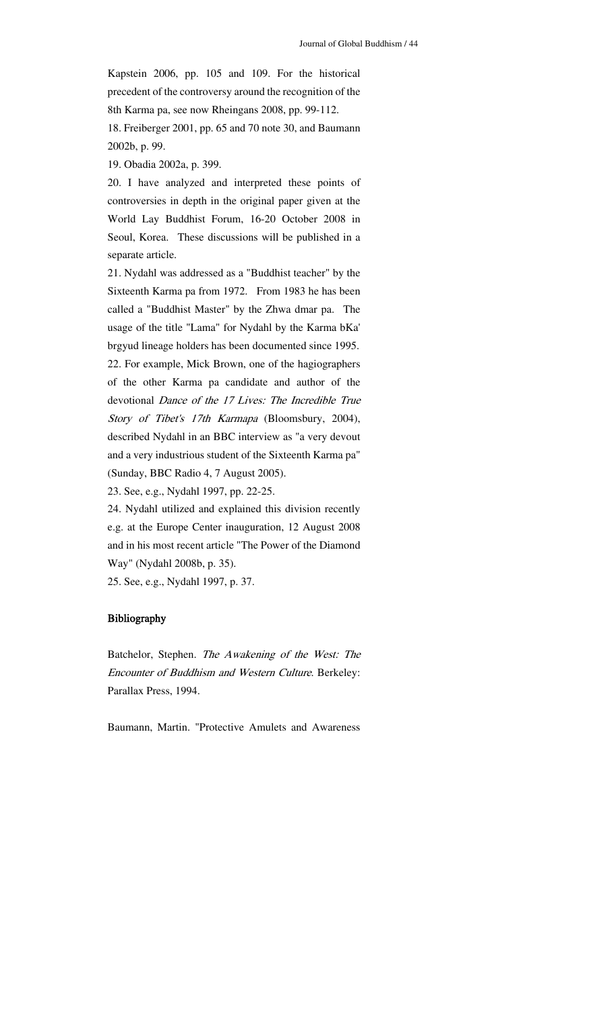Kapstein 2006, pp. 105 and 109. For the historical precedent of the controversy around the recognition of the 8th Karma pa, see now Rheingans 2008, pp. 99-112. 18. Freiberger 2001, pp. 65 and 70 note 30, and Baumann

2002b, p. 99.

19. Obadia 2002a, p. 399.

20. I have analyzed and interpreted these points of controversies in depth in the original paper given at the World Lay Buddhist Forum, 16-20 October 2008 in Seoul, Korea. These discussions will be published in a separate article.

21. Nydahl was addressed as a "Buddhist teacher" by the Sixteenth Karma pa from 1972. From 1983 he has been called a "Buddhist Master" by the Zhwa dmar pa. The usage of the title "Lama" for Nydahl by the Karma bKa' brgyud lineage holders has been documented since 1995. 22. For example, Mick Brown, one of the hagiographers of the other Karma pa candidate and author of the devotional Dance of the 17 Lives: The Incredible True Story of Tibet's 17th Karmapa (Bloomsbury, 2004), described Nydahl in an BBC interview as "a very devout and a very industrious student of the Sixteenth Karma pa" (Sunday, BBC Radio 4, 7 August 2005).

23. See, e.g., Nydahl 1997, pp. 22-25.

24. Nydahl utilized and explained this division recently e.g. at the Europe Center inauguration, 12 August 2008 and in his most recent article "The Power of the Diamond Way" (Nydahl 2008b, p. 35).

25. See, e.g., Nydahl 1997, p. 37.

#### Bibliography

Batchelor, Stephen. The Awakening of the West: The Encounter of Buddhism and Western Culture. Berkeley: Parallax Press, 1994.

Baumann, Martin. "Protective Amulets and Awareness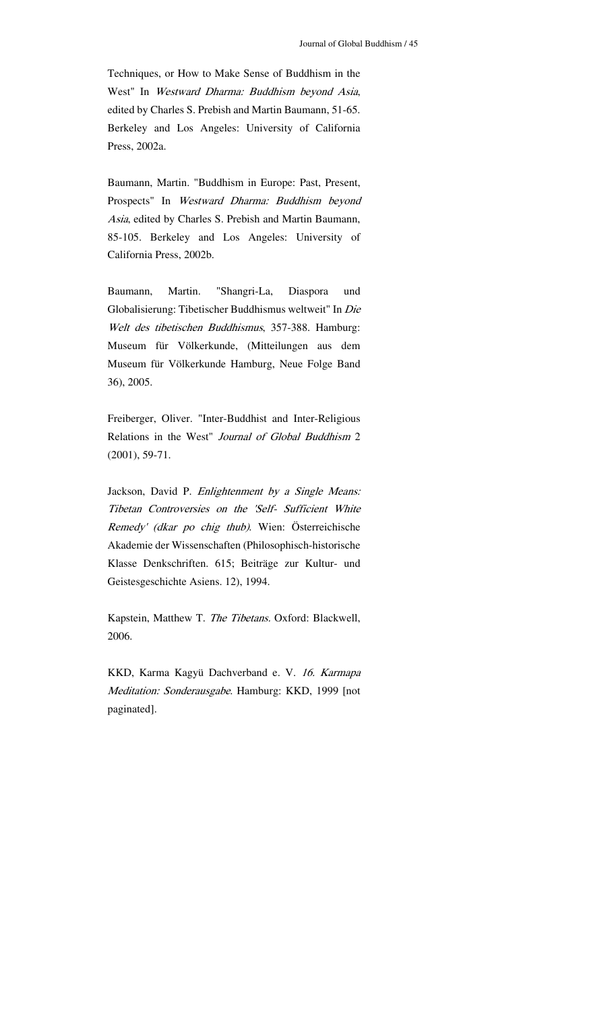Techniques, or How to Make Sense of Buddhism in the West" In Westward Dharma: Buddhism beyond Asia, edited by Charles S. Prebish and Martin Baumann, 51-65. Berkeley and Los Angeles: University of California Press, 2002a.

Baumann, Martin. "Buddhism in Europe: Past, Present, Prospects" In Westward Dharma: Buddhism beyond Asia, edited by Charles S. Prebish and Martin Baumann, 85-105. Berkeley and Los Angeles: University of California Press, 2002b.

Baumann, Martin. "Shangri-La, Diaspora und Globalisierung: Tibetischer Buddhismus weltweit" In Die Welt des tibetischen Buddhismus, 357-388. Hamburg: Museum für Völkerkunde, (Mitteilungen aus dem Museum für Völkerkunde Hamburg, Neue Folge Band 36), 2005.

Freiberger, Oliver. "Inter-Buddhist and Inter-Religious Relations in the West" Journal of Global Buddhism 2 (2001), 59-71.

Jackson, David P. Enlightenment by a Single Means: Tibetan Controversies on the 'Self- Sufficient White Remedy' (dkar po chig thub). Wien: Österreichische Akademie der Wissenschaften (Philosophisch-historische Klasse Denkschriften. 615; Beiträge zur Kultur- und Geistesgeschichte Asiens. 12), 1994.

Kapstein, Matthew T. The Tibetans. Oxford: Blackwell, 2006.

KKD, Karma Kagyü Dachverband e. V. 16. Karmapa Meditation: Sonderausgabe. Hamburg: KKD, 1999 [not paginated].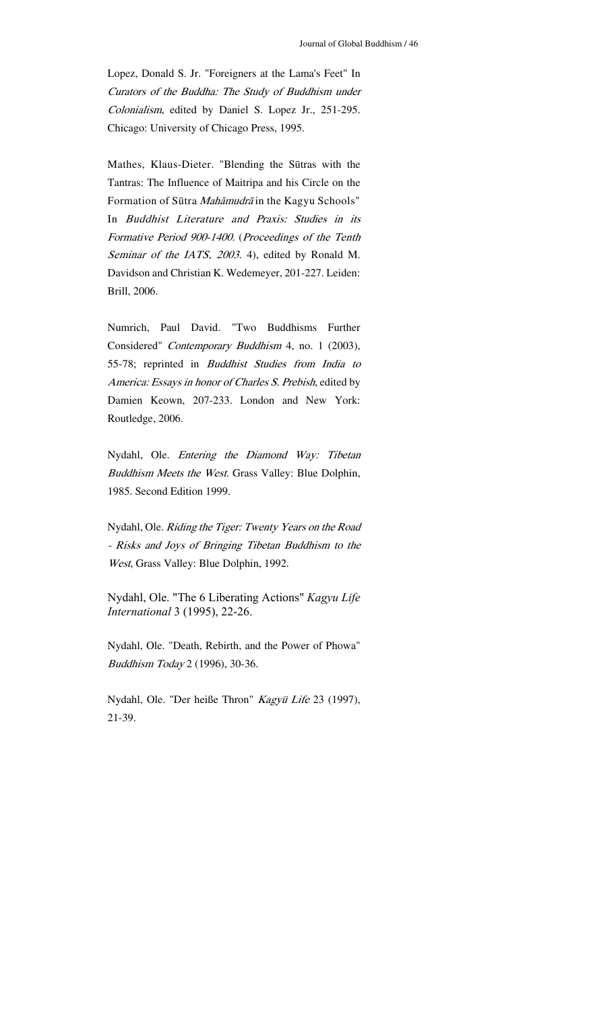Lopez, Donald S. Jr. "Foreigners at the Lama's Feet" In Curators of the Buddha: The Study of Buddhism under Colonialism, edited by Daniel S. Lopez Jr., 251-295. Chicago: University of Chicago Press, 1995.

Mathes, Klaus-Dieter. "Blending the Sūtras with the Tantras: The Influence of Maitripa and his Circle on the Formation of Sūtra Mahāmudrā in the Kagyu Schools" In Buddhist Literature and Praxis: Studies in its Formative Period 900-1400. (Proceedings of the Tenth Seminar of the IATS, 2003. 4), edited by Ronald M. Davidson and Christian K. Wedemeyer, 201-227. Leiden: Brill, 2006.

Numrich, Paul David. "Two Buddhisms Further Considered" Contemporary Buddhism 4, no. 1 (2003), 55-78; reprinted in Buddhist Studies from India to America: Essays in honor of Charles S. Prebish, edited by Damien Keown, 207-233. London and New York: Routledge, 2006.

Nydahl, Ole. Entering the Diamond Way: Tibetan Buddhism Meets the West. Grass Valley: Blue Dolphin, 1985. Second Edition 1999.

Nydahl, Ole. Riding the Tiger: Twenty Years on the Road - Risks and Joys of Bringing Tibetan Buddhism to the West, Grass Valley: Blue Dolphin, 1992.

Nydahl, Ole. "The 6 Liberating Actions" *Kagyu Life International* 3 (1995), 22-26.

Nydahl, Ole. "Death, Rebirth, and the Power of Phowa" Buddhism Today 2 (1996), 30-36.

Nydahl, Ole. "Der heiße Thron" Kagyü Life 23 (1997), 21-39.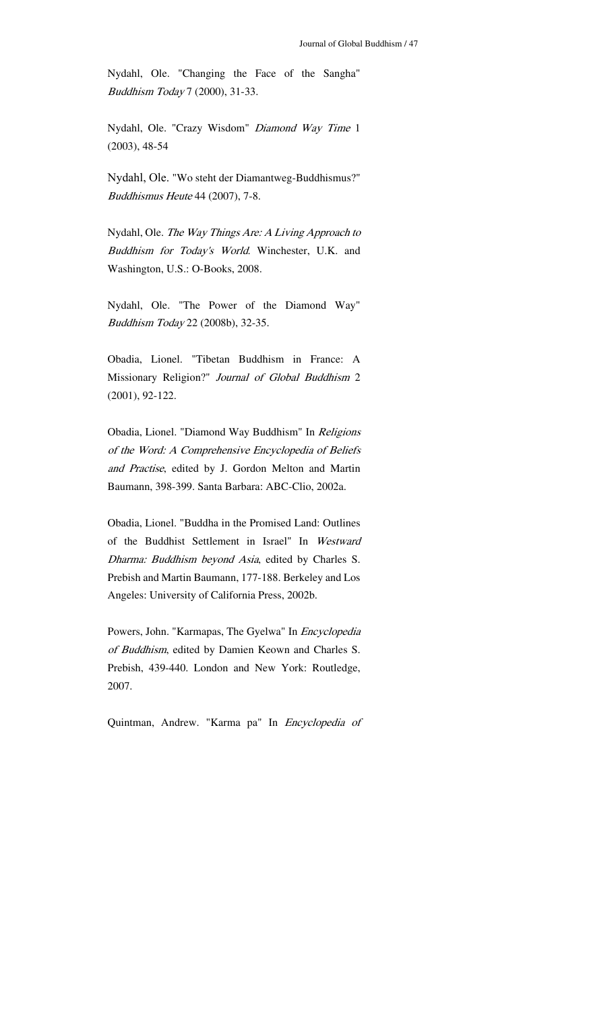Nydahl, Ole. "Changing the Face of the Sangha" Buddhism Today 7 (2000), 31-33.

Nydahl, Ole. "Crazy Wisdom" Diamond Way Time 1 (2003), 48-54

Nydahl, Ole. "Wo steht der Diamantweg-Buddhismus?" Buddhismus Heute 44 (2007), 7-8.

Nydahl, Ole. The Way Things Are: A Living Approach to Buddhism for Today's World. Winchester, U.K. and Washington, U.S.: O-Books, 2008.

Nydahl, Ole. "The Power of the Diamond Way" Buddhism Today 22 (2008b), 32-35.

Obadia, Lionel. "Tibetan Buddhism in France: A Missionary Religion?" Journal of Global Buddhism 2 (2001), 92-122.

Obadia, Lionel. "Diamond Way Buddhism" In Religions of the Word: A Comprehensive Encyclopedia of Beliefs and Practise, edited by J. Gordon Melton and Martin Baumann, 398-399. Santa Barbara: ABC-Clio, 2002a.

Obadia, Lionel. "Buddha in the Promised Land: Outlines of the Buddhist Settlement in Israel" In Westward Dharma: Buddhism beyond Asia, edited by Charles S. Prebish and Martin Baumann, 177-188. Berkeley and Los Angeles: University of California Press, 2002b.

Powers, John. "Karmapas, The Gyelwa" In Encyclopedia of Buddhism, edited by Damien Keown and Charles S. Prebish, 439-440. London and New York: Routledge, 2007.

Quintman, Andrew. "Karma pa" In Encyclopedia of